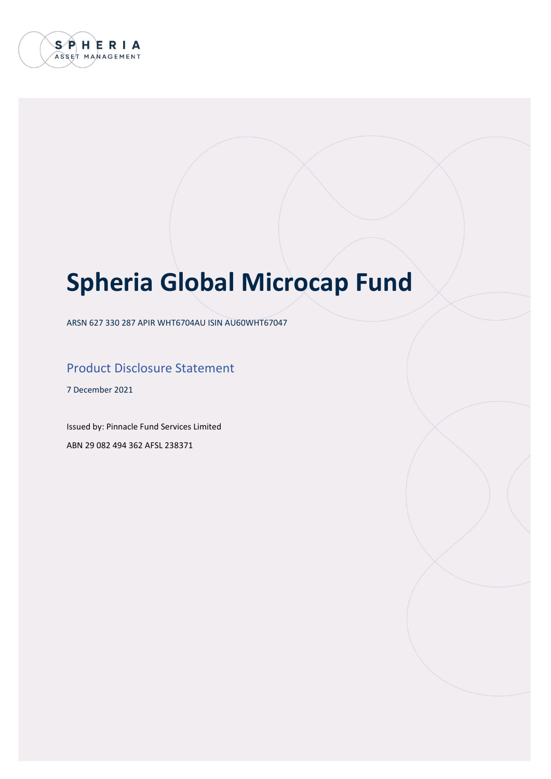

# **Spheria Global Microcap Fund**

ARSN 627 330 287 APIR WHT6704AU ISIN AU60WHT67047

### Product Disclosure Statement

7 December 2021

Issued by: Pinnacle Fund Services Limited ABN 29 082 494 362 AFSL 238371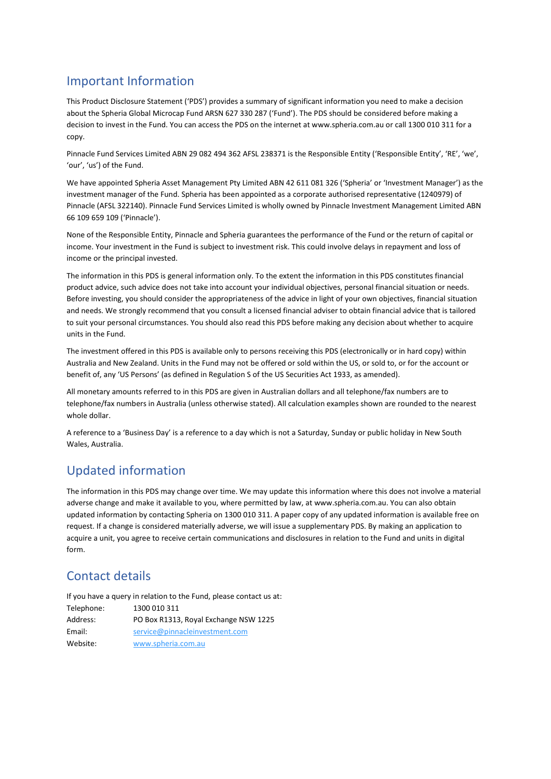### Important Information

This Product Disclosure Statement ('PDS') provides a summary of significant information you need to make a decision about the Spheria Global Microcap Fund ARSN 627 330 287 ('Fund'). The PDS should be considered before making a decision to invest in the Fund. You can access the PDS on the internet at www.spheria.com.au or call 1300 010 311 for a copy.

Pinnacle Fund Services Limited ABN 29 082 494 362 AFSL 238371 is the Responsible Entity ('Responsible Entity', 'RE', 'we', 'our', 'us') of the Fund.

We have appointed Spheria Asset Management Pty Limited ABN 42 611 081 326 ('Spheria' or 'Investment Manager') as the investment manager of the Fund. Spheria has been appointed as a corporate authorised representative (1240979) of Pinnacle (AFSL 322140). Pinnacle Fund Services Limited is wholly owned by Pinnacle Investment Management Limited ABN 66 109 659 109 ('Pinnacle').

None of the Responsible Entity, Pinnacle and Spheria guarantees the performance of the Fund or the return of capital or income. Your investment in the Fund is subject to investment risk. This could involve delays in repayment and loss of income or the principal invested.

The information in this PDS is general information only. To the extent the information in this PDS constitutes financial product advice, such advice does not take into account your individual objectives, personal financial situation or needs. Before investing, you should consider the appropriateness of the advice in light of your own objectives, financial situation and needs. We strongly recommend that you consult a licensed financial adviser to obtain financial advice that is tailored to suit your personal circumstances. You should also read this PDS before making any decision about whether to acquire units in the Fund.

The investment offered in this PDS is available only to persons receiving this PDS (electronically or in hard copy) within Australia and New Zealand. Units in the Fund may not be offered or sold within the US, or sold to, or for the account or benefit of, any 'US Persons' (as defined in Regulation S of the US Securities Act 1933, as amended).

All monetary amounts referred to in this PDS are given in Australian dollars and all telephone/fax numbers are to telephone/fax numbers in Australia (unless otherwise stated). All calculation examples shown are rounded to the nearest whole dollar.

A reference to a 'Business Day' is a reference to a day which is not a Saturday, Sunday or public holiday in New South Wales, Australia.

### Updated information

The information in this PDS may change over time. We may update this information where this does not involve a material adverse change and make it available to you, where permitted by law, at www.spheria.com.au. You can also obtain updated information by contacting Spheria on 1300 010 311. A paper copy of any updated information is available free on request. If a change is considered materially adverse, we will issue a supplementary PDS. By making an application to acquire a unit, you agree to receive certain communications and disclosures in relation to the Fund and units in digital form.

## Contact details

If you have a query in relation to the Fund, please contact us at: Telephone: 1300 010 311 Address: PO Box R1313, Royal Exchange NSW 1225 Email: [service@pinnacleinvestment.com](mailto:service@pinnacleinvestment.com) Website: [www.spheria.com.au](http://www.spheria.com.au/)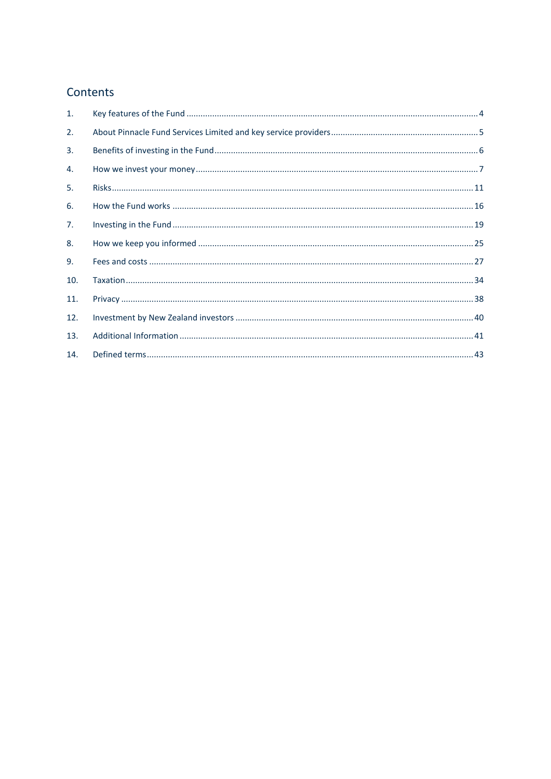### Contents

| $\mathbf{1}$ . |  |
|----------------|--|
| 2.             |  |
| 3.             |  |
| 4.             |  |
| 5.             |  |
| 6.             |  |
| 7.             |  |
| 8.             |  |
| 9.             |  |
| 10.            |  |
| 11.            |  |
| 12.            |  |
| 13.            |  |
| 14.            |  |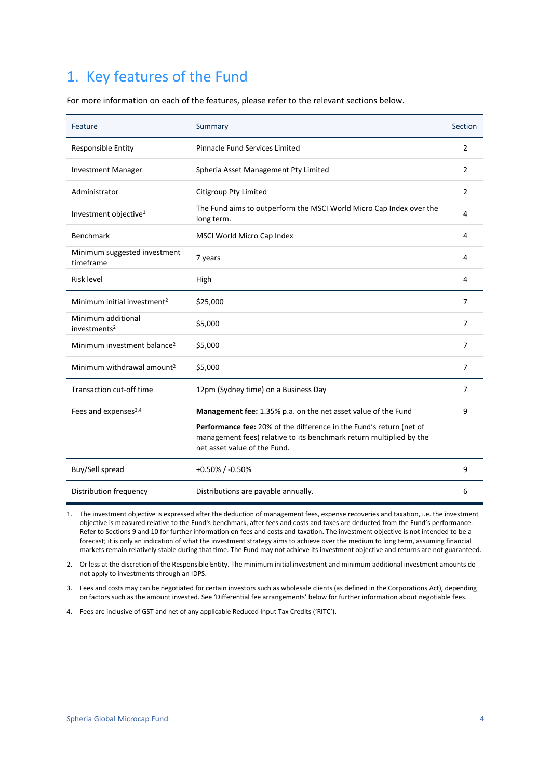## <span id="page-3-0"></span>1. Key features of the Fund

For more information on each of the features, please refer to the relevant sections below.

| Feature                                        | Summary                                                                                                                                                                    | Section        |
|------------------------------------------------|----------------------------------------------------------------------------------------------------------------------------------------------------------------------------|----------------|
| Responsible Entity                             | Pinnacle Fund Services Limited                                                                                                                                             | $\overline{2}$ |
| <b>Investment Manager</b>                      | Spheria Asset Management Pty Limited                                                                                                                                       | 2              |
| Administrator                                  | Citigroup Pty Limited                                                                                                                                                      | $\overline{2}$ |
| Investment objective <sup>1</sup>              | The Fund aims to outperform the MSCI World Micro Cap Index over the<br>long term.                                                                                          | 4              |
| <b>Benchmark</b>                               | MSCI World Micro Cap Index                                                                                                                                                 | 4              |
| Minimum suggested investment<br>timeframe      | 7 years                                                                                                                                                                    | 4              |
| <b>Risk level</b>                              | High                                                                                                                                                                       | 4              |
| Minimum initial investment <sup>2</sup>        | \$25,000                                                                                                                                                                   | $\overline{7}$ |
| Minimum additional<br>investments <sup>2</sup> | \$5,000                                                                                                                                                                    | 7              |
| Minimum investment balance <sup>2</sup>        | \$5,000                                                                                                                                                                    | $\overline{7}$ |
| Minimum withdrawal amount <sup>2</sup>         | \$5,000                                                                                                                                                                    | $\overline{7}$ |
| Transaction cut-off time                       | 12pm (Sydney time) on a Business Day                                                                                                                                       | 7              |
| Fees and expenses <sup>3,4</sup>               | Management fee: 1.35% p.a. on the net asset value of the Fund                                                                                                              | q              |
|                                                | Performance fee: 20% of the difference in the Fund's return (net of<br>management fees) relative to its benchmark return multiplied by the<br>net asset value of the Fund. |                |
| Buy/Sell spread                                | $+0.50\%$ / -0.50%                                                                                                                                                         | 9              |
| Distribution frequency                         | Distributions are payable annually.                                                                                                                                        | 6              |

1. The investment objective is expressed after the deduction of management fees, expense recoveries and taxation, i.e. the investment objective is measured relative to the Fund's benchmark, after fees and costs and taxes are deducted from the Fund's performance. Refer to Sections 9 and 10 for further information on fees and costs and taxation. The investment objective is not intended to be a forecast; it is only an indication of what the investment strategy aims to achieve over the medium to long term, assuming financial markets remain relatively stable during that time. The Fund may not achieve its investment objective and returns are not guaranteed.

2. Or less at the discretion of the Responsible Entity. The minimum initial investment and minimum additional investment amounts do not apply to investments through an IDPS.

3. Fees and costs may can be negotiated for certain investors such as wholesale clients (as defined in the Corporations Act), depending on factors such as the amount invested. See 'Differential fee arrangements' below for further information about negotiable fees.

4. Fees are inclusive of GST and net of any applicable Reduced Input Tax Credits ('RITC').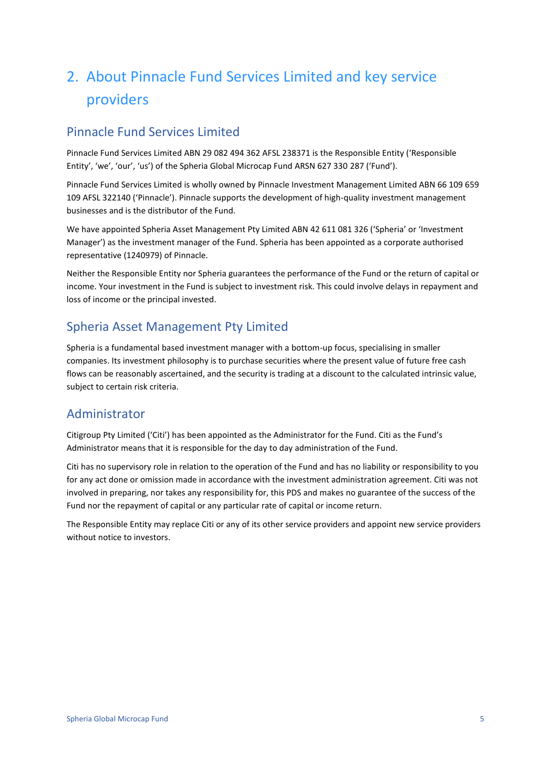## <span id="page-4-0"></span>2. About Pinnacle Fund Services Limited and key service providers

### Pinnacle Fund Services Limited

Pinnacle Fund Services Limited ABN 29 082 494 362 AFSL 238371 is the Responsible Entity ('Responsible Entity', 'we', 'our', 'us') of the Spheria Global Microcap Fund ARSN 627 330 287 ('Fund').

Pinnacle Fund Services Limited is wholly owned by Pinnacle Investment Management Limited ABN 66 109 659 109 AFSL 322140 ('Pinnacle'). Pinnacle supports the development of high-quality investment management businesses and is the distributor of the Fund.

We have appointed Spheria Asset Management Pty Limited ABN 42 611 081 326 ('Spheria' or 'Investment Manager') as the investment manager of the Fund. Spheria has been appointed as a corporate authorised representative (1240979) of Pinnacle.

Neither the Responsible Entity nor Spheria guarantees the performance of the Fund or the return of capital or income. Your investment in the Fund is subject to investment risk. This could involve delays in repayment and loss of income or the principal invested.

### Spheria Asset Management Pty Limited

Spheria is a fundamental based investment manager with a bottom-up focus, specialising in smaller companies. Its investment philosophy is to purchase securities where the present value of future free cash flows can be reasonably ascertained, and the security is trading at a discount to the calculated intrinsic value, subject to certain risk criteria.

### Administrator

Citigroup Pty Limited ('Citi') has been appointed as the Administrator for the Fund. Citi as the Fund's Administrator means that it is responsible for the day to day administration of the Fund.

Citi has no supervisory role in relation to the operation of the Fund and has no liability or responsibility to you for any act done or omission made in accordance with the investment administration agreement. Citi was not involved in preparing, nor takes any responsibility for, this PDS and makes no guarantee of the success of the Fund nor the repayment of capital or any particular rate of capital or income return.

The Responsible Entity may replace Citi or any of its other service providers and appoint new service providers without notice to investors.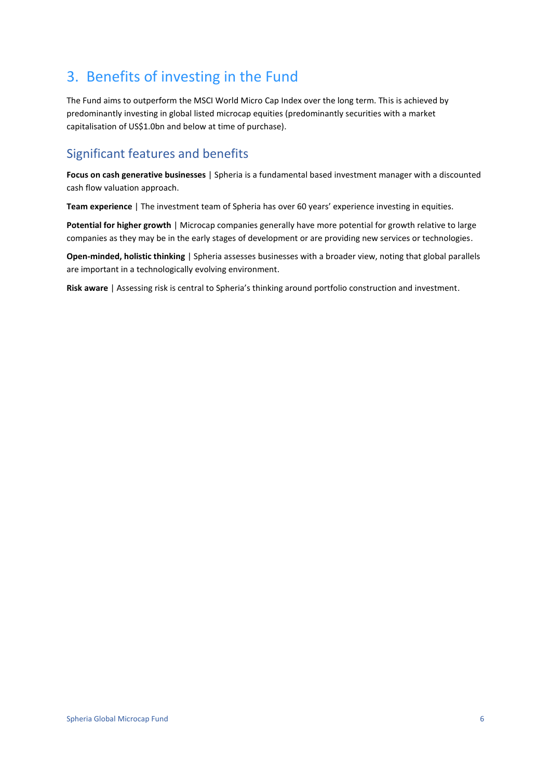## <span id="page-5-0"></span>3. Benefits of investing in the Fund

The Fund aims to outperform the MSCI World Micro Cap Index over the long term. This is achieved by predominantly investing in global listed microcap equities (predominantly securities with a market capitalisation of US\$1.0bn and below at time of purchase).

### Significant features and benefits

**Focus on cash generative businesses** | Spheria is a fundamental based investment manager with a discounted cash flow valuation approach.

**Team experience** | The investment team of Spheria has over 60 years' experience investing in equities.

**Potential for higher growth** | Microcap companies generally have more potential for growth relative to large companies as they may be in the early stages of development or are providing new services or technologies.

**Open-minded, holistic thinking** | Spheria assesses businesses with a broader view, noting that global parallels are important in a technologically evolving environment.

**Risk aware** | Assessing risk is central to Spheria's thinking around portfolio construction and investment.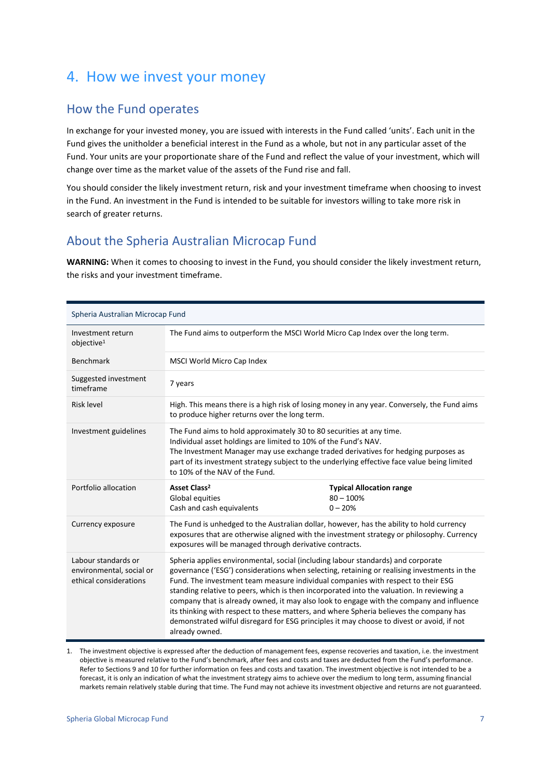## <span id="page-6-0"></span>4. How we invest your money

### How the Fund operates

In exchange for your invested money, you are issued with interests in the Fund called 'units'. Each unit in the Fund gives the unitholder a beneficial interest in the Fund as a whole, but not in any particular asset of the Fund. Your units are your proportionate share of the Fund and reflect the value of your investment, which will change over time as the market value of the assets of the Fund rise and fall.

You should consider the likely investment return, risk and your investment timeframe when choosing to invest in the Fund. An investment in the Fund is intended to be suitable for investors willing to take more risk in search of greater returns.

### About the Spheria Australian Microcap Fund

**WARNING:** When it comes to choosing to invest in the Fund, you should consider the likely investment return, the risks and your investment timeframe.

| Spheria Australian Microcap Fund                                          |                                                                                                                                                                                                                                                                                                                                                                                                                                                                                                                                                                                                                                                                       |                                                             |
|---------------------------------------------------------------------------|-----------------------------------------------------------------------------------------------------------------------------------------------------------------------------------------------------------------------------------------------------------------------------------------------------------------------------------------------------------------------------------------------------------------------------------------------------------------------------------------------------------------------------------------------------------------------------------------------------------------------------------------------------------------------|-------------------------------------------------------------|
| Investment return<br>objective <sup>1</sup>                               | The Fund aims to outperform the MSCI World Micro Cap Index over the long term.                                                                                                                                                                                                                                                                                                                                                                                                                                                                                                                                                                                        |                                                             |
| <b>Benchmark</b>                                                          | MSCI World Micro Cap Index                                                                                                                                                                                                                                                                                                                                                                                                                                                                                                                                                                                                                                            |                                                             |
| Suggested investment<br>timeframe                                         | 7 years                                                                                                                                                                                                                                                                                                                                                                                                                                                                                                                                                                                                                                                               |                                                             |
| <b>Risk level</b>                                                         | High. This means there is a high risk of losing money in any year. Conversely, the Fund aims<br>to produce higher returns over the long term.                                                                                                                                                                                                                                                                                                                                                                                                                                                                                                                         |                                                             |
| Investment guidelines                                                     | The Fund aims to hold approximately 30 to 80 securities at any time.<br>Individual asset holdings are limited to 10% of the Fund's NAV.<br>The Investment Manager may use exchange traded derivatives for hedging purposes as<br>part of its investment strategy subject to the underlying effective face value being limited<br>to 10% of the NAV of the Fund.                                                                                                                                                                                                                                                                                                       |                                                             |
| Portfolio allocation                                                      | Asset Class <sup>2</sup><br>Global equities<br>Cash and cash equivalents                                                                                                                                                                                                                                                                                                                                                                                                                                                                                                                                                                                              | <b>Typical Allocation range</b><br>$80 - 100%$<br>$0 - 20%$ |
| Currency exposure                                                         | The Fund is unhedged to the Australian dollar, however, has the ability to hold currency<br>exposures that are otherwise aligned with the investment strategy or philosophy. Currency<br>exposures will be managed through derivative contracts.                                                                                                                                                                                                                                                                                                                                                                                                                      |                                                             |
| Labour standards or<br>environmental, social or<br>ethical considerations | Spheria applies environmental, social (including labour standards) and corporate<br>governance ('ESG') considerations when selecting, retaining or realising investments in the<br>Fund. The investment team measure individual companies with respect to their ESG<br>standing relative to peers, which is then incorporated into the valuation. In reviewing a<br>company that is already owned, it may also look to engage with the company and influence<br>its thinking with respect to these matters, and where Spheria believes the company has<br>demonstrated wilful disregard for ESG principles it may choose to divest or avoid, if not<br>already owned. |                                                             |

1. The investment objective is expressed after the deduction of management fees, expense recoveries and taxation, i.e. the investment objective is measured relative to the Fund's benchmark, after fees and costs and taxes are deducted from the Fund's performance. Refer to Sections 9 and 10 for further information on fees and costs and taxation. The investment objective is not intended to be a forecast, it is only an indication of what the investment strategy aims to achieve over the medium to long term, assuming financial markets remain relatively stable during that time. The Fund may not achieve its investment objective and returns are not guaranteed.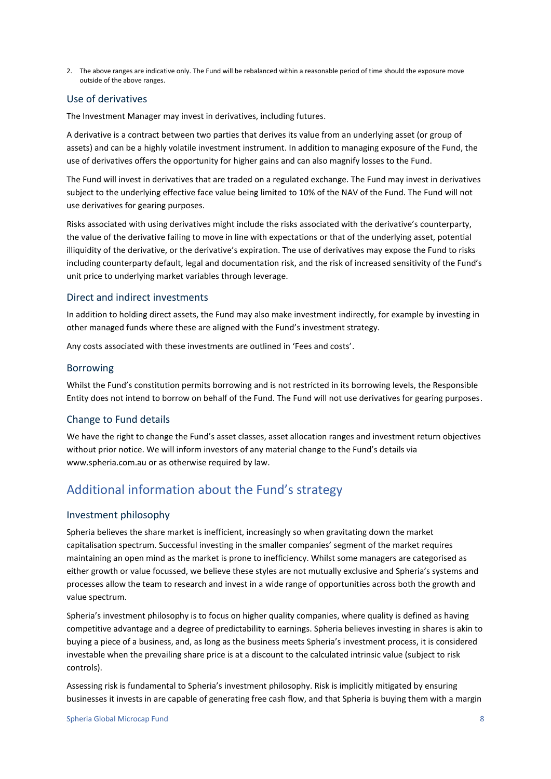2. The above ranges are indicative only. The Fund will be rebalanced within a reasonable period of time should the exposure move outside of the above ranges.

### Use of derivatives

The Investment Manager may invest in derivatives, including futures.

A derivative is a contract between two parties that derives its value from an underlying asset (or group of assets) and can be a highly volatile investment instrument. In addition to managing exposure of the Fund, the use of derivatives offers the opportunity for higher gains and can also magnify losses to the Fund.

The Fund will invest in derivatives that are traded on a regulated exchange. The Fund may invest in derivatives subject to the underlying effective face value being limited to 10% of the NAV of the Fund. The Fund will not use derivatives for gearing purposes.

Risks associated with using derivatives might include the risks associated with the derivative's counterparty, the value of the derivative failing to move in line with expectations or that of the underlying asset, potential illiquidity of the derivative, or the derivative's expiration. The use of derivatives may expose the Fund to risks including counterparty default, legal and documentation risk, and the risk of increased sensitivity of the Fund's unit price to underlying market variables through leverage.

### Direct and indirect investments

In addition to holding direct assets, the Fund may also make investment indirectly, for example by investing in other managed funds where these are aligned with the Fund's investment strategy.

Any costs associated with these investments are outlined in 'Fees and costs'.

### Borrowing

Whilst the Fund's constitution permits borrowing and is not restricted in its borrowing levels, the Responsible Entity does not intend to borrow on behalf of the Fund. The Fund will not use derivatives for gearing purposes.

### Change to Fund details

We have the right to change the Fund's asset classes, asset allocation ranges and investment return objectives without prior notice. We will inform investors of any material change to the Fund's details via www.spheria.com.au or as otherwise required by law.

### Additional information about the Fund's strategy

### Investment philosophy

Spheria believes the share market is inefficient, increasingly so when gravitating down the market capitalisation spectrum. Successful investing in the smaller companies' segment of the market requires maintaining an open mind as the market is prone to inefficiency. Whilst some managers are categorised as either growth or value focussed, we believe these styles are not mutually exclusive and Spheria's systems and processes allow the team to research and invest in a wide range of opportunities across both the growth and value spectrum.

Spheria's investment philosophy is to focus on higher quality companies, where quality is defined as having competitive advantage and a degree of predictability to earnings. Spheria believes investing in shares is akin to buying a piece of a business, and, as long as the business meets Spheria's investment process, it is considered investable when the prevailing share price is at a discount to the calculated intrinsic value (subject to risk controls).

Assessing risk is fundamental to Spheria's investment philosophy. Risk is implicitly mitigated by ensuring businesses it invests in are capable of generating free cash flow, and that Spheria is buying them with a margin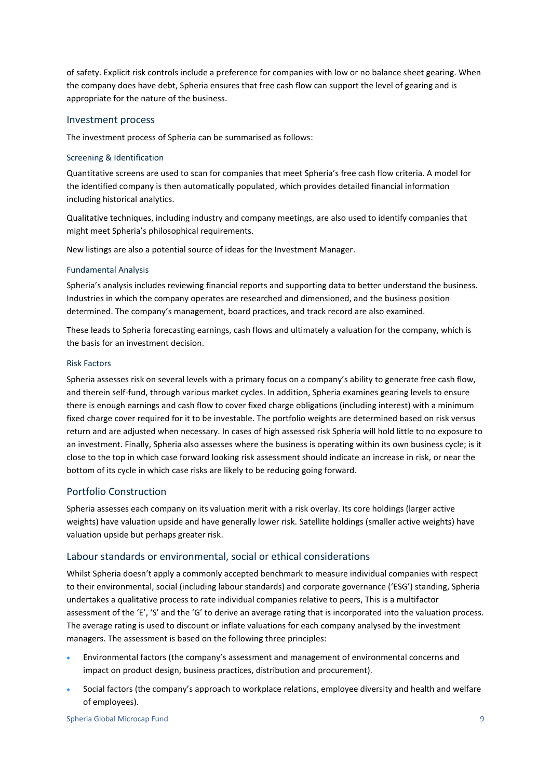of safety. Explicit risk controls include a preference for companies with low or no balance sheet gearing. When the company does have debt, Spheria ensures that free cash flow can support the level of gearing and is appropriate for the nature of the business.

#### Investment process

The investment process of Spheria can be summarised as follows:

#### Screening & Identification

Quantitative screens are used to scan for companies that meet Spheria's free cash flow criteria. A model for the identified company is then automatically populated, which provides detailed financial information including historical analytics.

Qualitative techniques, including industry and company meetings, are also used to identify companies that might meet Spheria's philosophical requirements.

New listings are also a potential source of ideas for the Investment Manager.

#### Fundamental Analysis

Spheria's analysis includes reviewing financial reports and supporting data to better understand the business. Industries in which the company operates are researched and dimensioned, and the business position determined. The company's management, board practices, and track record are also examined.

These leads to Spheria forecasting earnings, cash flows and ultimately a valuation for the company, which is the basis for an investment decision.

#### Risk Factors

Spheria assesses risk on several levels with a primary focus on a company's ability to generate free cash flow, and therein self-fund, through various market cycles. In addition, Spheria examines gearing levels to ensure there is enough earnings and cash flow to cover fixed charge obligations (including interest) with a minimum fixed charge cover required for it to be investable. The portfolio weights are determined based on risk versus return and are adjusted when necessary. In cases of high assessed risk Spheria will hold little to no exposure to an investment. Finally, Spheria also assesses where the business is operating within its own business cycle; is it close to the top in which case forward looking risk assessment should indicate an increase in risk, or near the bottom of its cycle in which case risks are likely to be reducing going forward.

### Portfolio Construction

Spheria assesses each company on its valuation merit with a risk overlay. Its core holdings (larger active weights) have valuation upside and have generally lower risk. Satellite holdings (smaller active weights) have valuation upside but perhaps greater risk.

#### Labour standards or environmental, social or ethical considerations

Whilst Spheria doesn't apply a commonly accepted benchmark to measure individual companies with respect to their environmental, social (including labour standards) and corporate governance ('ESG') standing, Spheria undertakes a qualitative process to rate individual companies relative to peers, This is a multifactor assessment of the 'E', 'S' and the 'G' to derive an average rating that is incorporated into the valuation process. The average rating is used to discount or inflate valuations for each company analysed by the investment managers. The assessment is based on the following three principles:

- Environmental factors (the company's assessment and management of environmental concerns and impact on product design, business practices, distribution and procurement).
- Social factors (the company's approach to workplace relations, employee diversity and health and welfare of employees).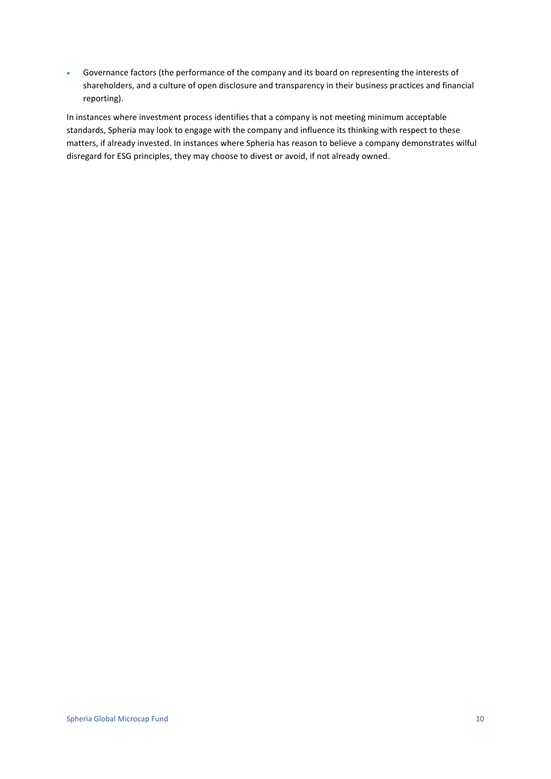• Governance factors (the performance of the company and its board on representing the interests of shareholders, and a culture of open disclosure and transparency in their business practices and financial reporting).

In instances where investment process identifies that a company is not meeting minimum acceptable standards, Spheria may look to engage with the company and influence its thinking with respect to these matters, if already invested. In instances where Spheria has reason to believe a company demonstrates wilful disregard for ESG principles, they may choose to divest or avoid, if not already owned.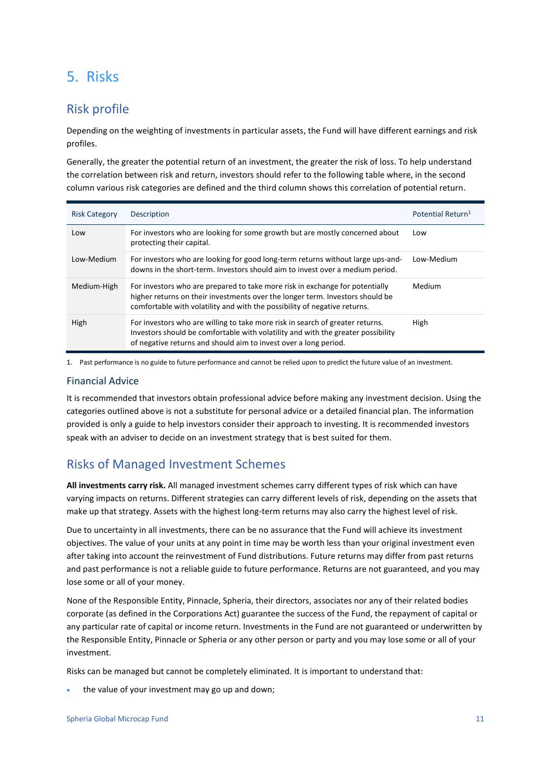## <span id="page-10-0"></span>5. Risks

### Risk profile

Depending on the weighting of investments in particular assets, the Fund will have different earnings and risk profiles.

Generally, the greater the potential return of an investment, the greater the risk of loss. To help understand the correlation between risk and return, investors should refer to the following table where, in the second column various risk categories are defined and the third column shows this correlation of potential return.

| <b>Risk Category</b> | Description                                                                                                                                                                                                                                | Potential Return <sup>1</sup> |
|----------------------|--------------------------------------------------------------------------------------------------------------------------------------------------------------------------------------------------------------------------------------------|-------------------------------|
| Low                  | For investors who are looking for some growth but are mostly concerned about<br>protecting their capital.                                                                                                                                  | Low                           |
| Low-Medium           | For investors who are looking for good long-term returns without large ups-and-<br>downs in the short-term. Investors should aim to invest over a medium period.                                                                           | Low-Medium                    |
| Medium-High          | For investors who are prepared to take more risk in exchange for potentially<br>higher returns on their investments over the longer term. Investors should be<br>comfortable with volatility and with the possibility of negative returns. | Medium                        |
| High                 | For investors who are willing to take more risk in search of greater returns.<br>Investors should be comfortable with volatility and with the greater possibility<br>of negative returns and should aim to invest over a long period.      | High                          |

1. Past performance is no guide to future performance and cannot be relied upon to predict the future value of an investment.

### Financial Advice

It is recommended that investors obtain professional advice before making any investment decision. Using the categories outlined above is not a substitute for personal advice or a detailed financial plan. The information provided is only a guide to help investors consider their approach to investing. It is recommended investors speak with an adviser to decide on an investment strategy that is best suited for them.

### Risks of Managed Investment Schemes

**All investments carry risk.** All managed investment schemes carry different types of risk which can have varying impacts on returns. Different strategies can carry different levels of risk, depending on the assets that make up that strategy. Assets with the highest long-term returns may also carry the highest level of risk.

Due to uncertainty in all investments, there can be no assurance that the Fund will achieve its investment objectives. The value of your units at any point in time may be worth less than your original investment even after taking into account the reinvestment of Fund distributions. Future returns may differ from past returns and past performance is not a reliable guide to future performance. Returns are not guaranteed, and you may lose some or all of your money.

None of the Responsible Entity, Pinnacle, Spheria, their directors, associates nor any of their related bodies corporate (as defined in the Corporations Act) guarantee the success of the Fund, the repayment of capital or any particular rate of capital or income return. Investments in the Fund are not guaranteed or underwritten by the Responsible Entity, Pinnacle or Spheria or any other person or party and you may lose some or all of your investment.

Risks can be managed but cannot be completely eliminated. It is important to understand that:

the value of your investment may go up and down;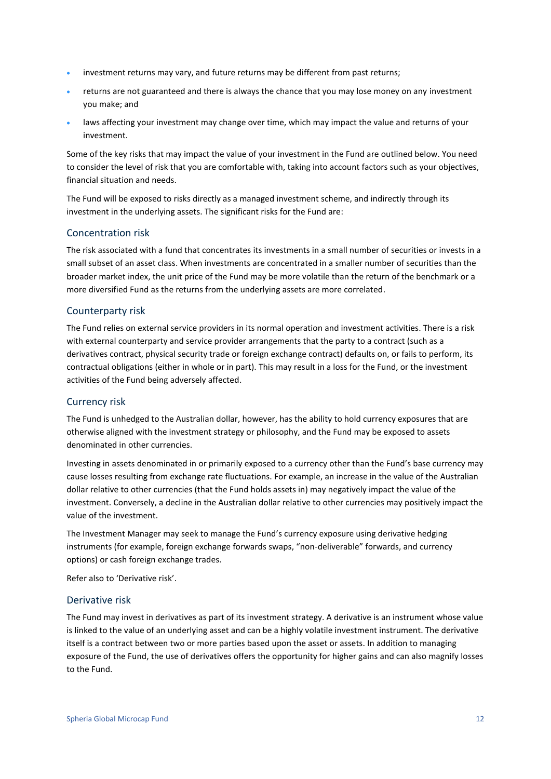- investment returns may vary, and future returns may be different from past returns;
- returns are not guaranteed and there is always the chance that you may lose money on any investment you make; and
- laws affecting your investment may change over time, which may impact the value and returns of your investment.

Some of the key risks that may impact the value of your investment in the Fund are outlined below. You need to consider the level of risk that you are comfortable with, taking into account factors such as your objectives, financial situation and needs.

The Fund will be exposed to risks directly as a managed investment scheme, and indirectly through its investment in the underlying assets. The significant risks for the Fund are:

### Concentration risk

The risk associated with a fund that concentrates its investments in a small number of securities or invests in a small subset of an asset class. When investments are concentrated in a smaller number of securities than the broader market index, the unit price of the Fund may be more volatile than the return of the benchmark or a more diversified Fund as the returns from the underlying assets are more correlated.

### Counterparty risk

The Fund relies on external service providers in its normal operation and investment activities. There is a risk with external counterparty and service provider arrangements that the party to a contract (such as a derivatives contract, physical security trade or foreign exchange contract) defaults on, or fails to perform, its contractual obligations (either in whole or in part). This may result in a loss for the Fund, or the investment activities of the Fund being adversely affected.

### Currency risk

The Fund is unhedged to the Australian dollar, however, has the ability to hold currency exposures that are otherwise aligned with the investment strategy or philosophy, and the Fund may be exposed to assets denominated in other currencies.

Investing in assets denominated in or primarily exposed to a currency other than the Fund's base currency may cause losses resulting from exchange rate fluctuations. For example, an increase in the value of the Australian dollar relative to other currencies (that the Fund holds assets in) may negatively impact the value of the investment. Conversely, a decline in the Australian dollar relative to other currencies may positively impact the value of the investment.

The Investment Manager may seek to manage the Fund's currency exposure using derivative hedging instruments (for example, foreign exchange forwards swaps, "non-deliverable" forwards, and currency options) or cash foreign exchange trades.

Refer also to 'Derivative risk'.

#### Derivative risk

The Fund may invest in derivatives as part of its investment strategy. A derivative is an instrument whose value is linked to the value of an underlying asset and can be a highly volatile investment instrument. The derivative itself is a contract between two or more parties based upon the asset or assets. In addition to managing exposure of the Fund, the use of derivatives offers the opportunity for higher gains and can also magnify losses to the Fund.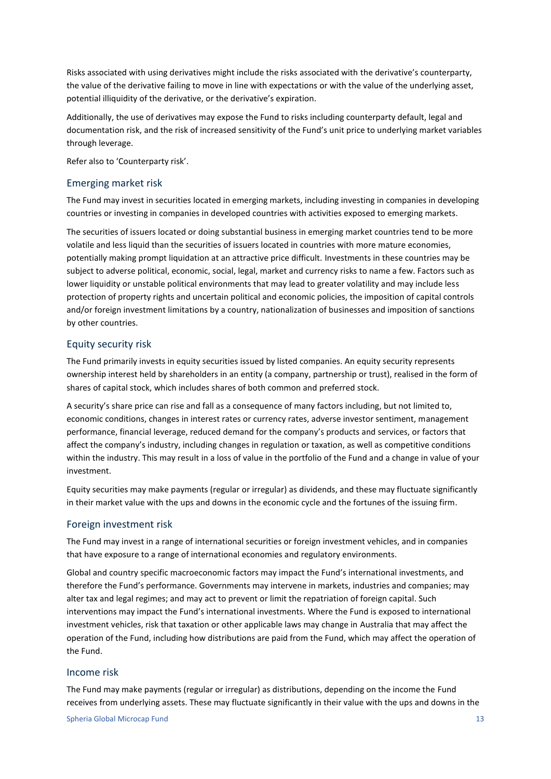Risks associated with using derivatives might include the risks associated with the derivative's counterparty, the value of the derivative failing to move in line with expectations or with the value of the underlying asset, potential illiquidity of the derivative, or the derivative's expiration.

Additionally, the use of derivatives may expose the Fund to risks including counterparty default, legal and documentation risk, and the risk of increased sensitivity of the Fund's unit price to underlying market variables through leverage.

Refer also to 'Counterparty risk'.

### Emerging market risk

The Fund may invest in securities located in emerging markets, including investing in companies in developing countries or investing in companies in developed countries with activities exposed to emerging markets.

The securities of issuers located or doing substantial business in emerging market countries tend to be more volatile and less liquid than the securities of issuers located in countries with more mature economies, potentially making prompt liquidation at an attractive price difficult. Investments in these countries may be subject to adverse political, economic, social, legal, market and currency risks to name a few. Factors such as lower liquidity or unstable political environments that may lead to greater volatility and may include less protection of property rights and uncertain political and economic policies, the imposition of capital controls and/or foreign investment limitations by a country, nationalization of businesses and imposition of sanctions by other countries.

### Equity security risk

The Fund primarily invests in equity securities issued by listed companies. An equity security represents ownership interest held by shareholders in an entity (a company, partnership or trust), realised in the form of shares of capital stock, which includes shares of both common and preferred stock.

A security's share price can rise and fall as a consequence of many factors including, but not limited to, economic conditions, changes in interest rates or currency rates, adverse investor sentiment, management performance, financial leverage, reduced demand for the company's products and services, or factors that affect the company's industry, including changes in regulation or taxation, as well as competitive conditions within the industry. This may result in a loss of value in the portfolio of the Fund and a change in value of your investment.

Equity securities may make payments (regular or irregular) as dividends, and these may fluctuate significantly in their market value with the ups and downs in the economic cycle and the fortunes of the issuing firm.

### Foreign investment risk

The Fund may invest in a range of international securities or foreign investment vehicles, and in companies that have exposure to a range of international economies and regulatory environments.

Global and country specific macroeconomic factors may impact the Fund's international investments, and therefore the Fund's performance. Governments may intervene in markets, industries and companies; may alter tax and legal regimes; and may act to prevent or limit the repatriation of foreign capital. Such interventions may impact the Fund's international investments. Where the Fund is exposed to international investment vehicles, risk that taxation or other applicable laws may change in Australia that may affect the operation of the Fund, including how distributions are paid from the Fund, which may affect the operation of the Fund.

### Income risk

The Fund may make payments (regular or irregular) as distributions, depending on the income the Fund receives from underlying assets. These may fluctuate significantly in their value with the ups and downs in the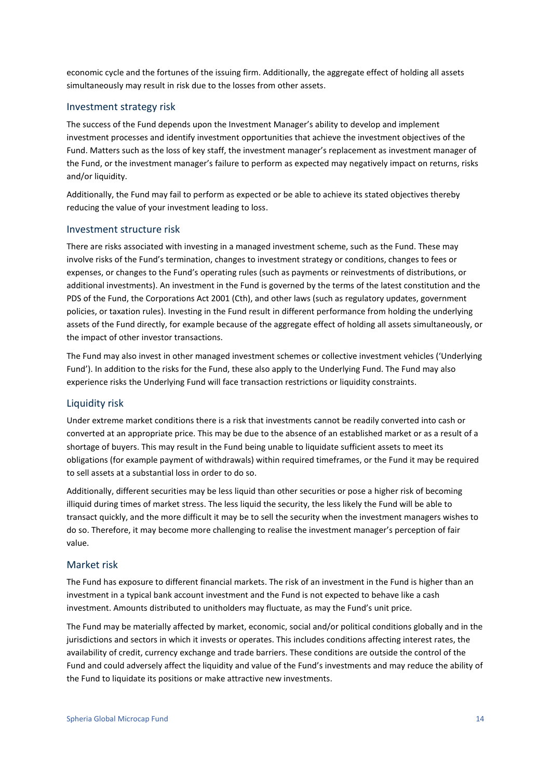economic cycle and the fortunes of the issuing firm. Additionally, the aggregate effect of holding all assets simultaneously may result in risk due to the losses from other assets.

### Investment strategy risk

The success of the Fund depends upon the Investment Manager's ability to develop and implement investment processes and identify investment opportunities that achieve the investment objectives of the Fund. Matters such as the loss of key staff, the investment manager's replacement as investment manager of the Fund, or the investment manager's failure to perform as expected may negatively impact on returns, risks and/or liquidity.

Additionally, the Fund may fail to perform as expected or be able to achieve its stated objectives thereby reducing the value of your investment leading to loss.

#### Investment structure risk

There are risks associated with investing in a managed investment scheme, such as the Fund. These may involve risks of the Fund's termination, changes to investment strategy or conditions, changes to fees or expenses, or changes to the Fund's operating rules (such as payments or reinvestments of distributions, or additional investments). An investment in the Fund is governed by the terms of the latest constitution and the PDS of the Fund, the Corporations Act 2001 (Cth), and other laws (such as regulatory updates, government policies, or taxation rules). Investing in the Fund result in different performance from holding the underlying assets of the Fund directly, for example because of the aggregate effect of holding all assets simultaneously, or the impact of other investor transactions.

The Fund may also invest in other managed investment schemes or collective investment vehicles ('Underlying Fund'). In addition to the risks for the Fund, these also apply to the Underlying Fund. The Fund may also experience risks the Underlying Fund will face transaction restrictions or liquidity constraints.

#### Liquidity risk

Under extreme market conditions there is a risk that investments cannot be readily converted into cash or converted at an appropriate price. This may be due to the absence of an established market or as a result of a shortage of buyers. This may result in the Fund being unable to liquidate sufficient assets to meet its obligations (for example payment of withdrawals) within required timeframes, or the Fund it may be required to sell assets at a substantial loss in order to do so.

Additionally, different securities may be less liquid than other securities or pose a higher risk of becoming illiquid during times of market stress. The less liquid the security, the less likely the Fund will be able to transact quickly, and the more difficult it may be to sell the security when the investment managers wishes to do so. Therefore, it may become more challenging to realise the investment manager's perception of fair value.

### Market risk

The Fund has exposure to different financial markets. The risk of an investment in the Fund is higher than an investment in a typical bank account investment and the Fund is not expected to behave like a cash investment. Amounts distributed to unitholders may fluctuate, as may the Fund's unit price.

The Fund may be materially affected by market, economic, social and/or political conditions globally and in the jurisdictions and sectors in which it invests or operates. This includes conditions affecting interest rates, the availability of credit, currency exchange and trade barriers. These conditions are outside the control of the Fund and could adversely affect the liquidity and value of the Fund's investments and may reduce the ability of the Fund to liquidate its positions or make attractive new investments.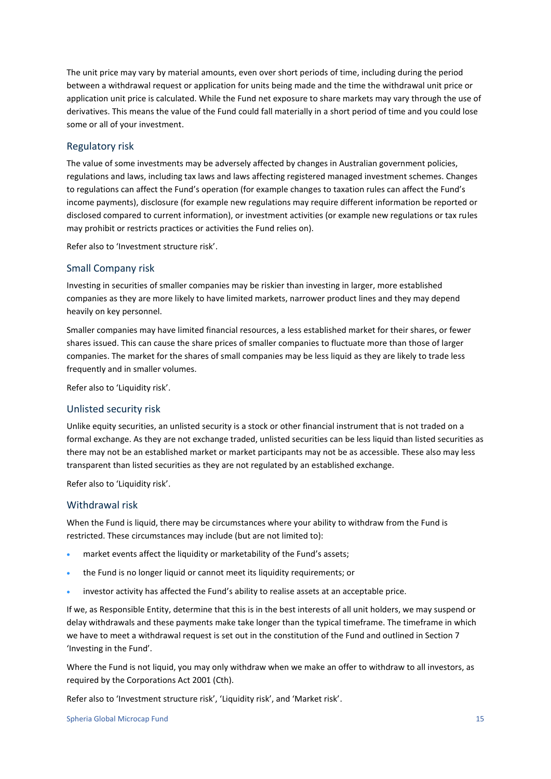The unit price may vary by material amounts, even over short periods of time, including during the period between a withdrawal request or application for units being made and the time the withdrawal unit price or application unit price is calculated. While the Fund net exposure to share markets may vary through the use of derivatives. This means the value of the Fund could fall materially in a short period of time and you could lose some or all of your investment.

### Regulatory risk

The value of some investments may be adversely affected by changes in Australian government policies, regulations and laws, including tax laws and laws affecting registered managed investment schemes. Changes to regulations can affect the Fund's operation (for example changes to taxation rules can affect the Fund's income payments), disclosure (for example new regulations may require different information be reported or disclosed compared to current information), or investment activities (or example new regulations or tax rules may prohibit or restricts practices or activities the Fund relies on).

Refer also to 'Investment structure risk'.

#### Small Company risk

Investing in securities of smaller companies may be riskier than investing in larger, more established companies as they are more likely to have limited markets, narrower product lines and they may depend heavily on key personnel.

Smaller companies may have limited financial resources, a less established market for their shares, or fewer shares issued. This can cause the share prices of smaller companies to fluctuate more than those of larger companies. The market for the shares of small companies may be less liquid as they are likely to trade less frequently and in smaller volumes.

Refer also to 'Liquidity risk'.

### Unlisted security risk

Unlike equity securities, an unlisted security is a stock or other financial instrument that is not traded on a formal exchange. As they are not exchange traded, unlisted securities can be less liquid than listed securities as there may not be an established market or market participants may not be as accessible. These also may less transparent than listed securities as they are not regulated by an established exchange.

Refer also to 'Liquidity risk'.

#### Withdrawal risk

When the Fund is liquid, there may be circumstances where your ability to withdraw from the Fund is restricted. These circumstances may include (but are not limited to):

- market events affect the liquidity or marketability of the Fund's assets;
- the Fund is no longer liquid or cannot meet its liquidity requirements; or
- investor activity has affected the Fund's ability to realise assets at an acceptable price.

If we, as Responsible Entity, determine that this is in the best interests of all unit holders, we may suspend or delay withdrawals and these payments make take longer than the typical timeframe. The timeframe in which we have to meet a withdrawal request is set out in the constitution of the Fund and outlined in Section 7 'Investing in the Fund'.

Where the Fund is not liquid, you may only withdraw when we make an offer to withdraw to all investors, as required by the Corporations Act 2001 (Cth).

Refer also to 'Investment structure risk', 'Liquidity risk', and 'Market risk'.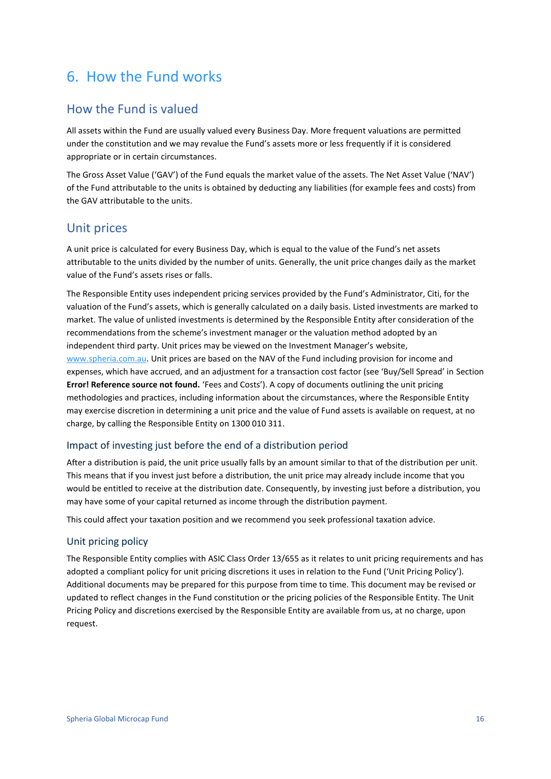## <span id="page-15-0"></span>6. How the Fund works

### How the Fund is valued

All assets within the Fund are usually valued every Business Day. More frequent valuations are permitted under the constitution and we may revalue the Fund's assets more or less frequently if it is considered appropriate or in certain circumstances.

The Gross Asset Value ('GAV') of the Fund equals the market value of the assets. The Net Asset Value ('NAV') of the Fund attributable to the units is obtained by deducting any liabilities (for example fees and costs) from the GAV attributable to the units.

### Unit prices

A unit price is calculated for every Business Day, which is equal to the value of the Fund's net assets attributable to the units divided by the number of units. Generally, the unit price changes daily as the market value of the Fund's assets rises or falls.

The Responsible Entity uses independent pricing services provided by the Fund's Administrator, Citi, for the valuation of the Fund's assets, which is generally calculated on a daily basis. Listed investments are marked to market. The value of unlisted investments is determined by the Responsible Entity after consideration of the recommendations from the scheme's investment manager or the valuation method adopted by an independent third party. Unit prices may be viewed on the Investment Manager's website, [www.spheria.com.au.](http://www.plato.com.au/) Unit prices are based on the NAV of the Fund including provision for income and expenses, which have accrued, and an adjustment for a transaction cost factor (see 'Buy/Sell Spread' in Section **Error! Reference source not found.** 'Fees and Costs'). A copy of documents outlining the unit pricing methodologies and practices, including information about the circumstances, where the Responsible Entity may exercise discretion in determining a unit price and the value of Fund assets is available on request, at no charge, by calling the Responsible Entity on 1300 010 311.

### Impact of investing just before the end of a distribution period

After a distribution is paid, the unit price usually falls by an amount similar to that of the distribution per unit. This means that if you invest just before a distribution, the unit price may already include income that you would be entitled to receive at the distribution date. Consequently, by investing just before a distribution, you may have some of your capital returned as income through the distribution payment.

This could affect your taxation position and we recommend you seek professional taxation advice.

### Unit pricing policy

The Responsible Entity complies with ASIC Class Order 13/655 as it relates to unit pricing requirements and has adopted a compliant policy for unit pricing discretions it uses in relation to the Fund ('Unit Pricing Policy'). Additional documents may be prepared for this purpose from time to time. This document may be revised or updated to reflect changes in the Fund constitution or the pricing policies of the Responsible Entity. The Unit Pricing Policy and discretions exercised by the Responsible Entity are available from us, at no charge, upon request.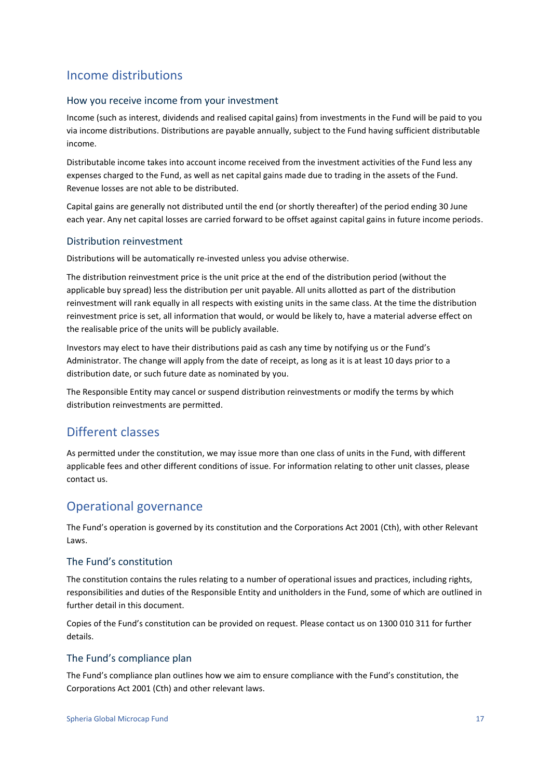### Income distributions

### How you receive income from your investment

Income (such as interest, dividends and realised capital gains) from investments in the Fund will be paid to you via income distributions. Distributions are payable annually, subject to the Fund having sufficient distributable income.

Distributable income takes into account income received from the investment activities of the Fund less any expenses charged to the Fund, as well as net capital gains made due to trading in the assets of the Fund. Revenue losses are not able to be distributed.

Capital gains are generally not distributed until the end (or shortly thereafter) of the period ending 30 June each year. Any net capital losses are carried forward to be offset against capital gains in future income periods.

### Distribution reinvestment

Distributions will be automatically re-invested unless you advise otherwise.

The distribution reinvestment price is the unit price at the end of the distribution period (without the applicable buy spread) less the distribution per unit payable. All units allotted as part of the distribution reinvestment will rank equally in all respects with existing units in the same class. At the time the distribution reinvestment price is set, all information that would, or would be likely to, have a material adverse effect on the realisable price of the units will be publicly available.

Investors may elect to have their distributions paid as cash any time by notifying us or the Fund's Administrator. The change will apply from the date of receipt, as long as it is at least 10 days prior to a distribution date, or such future date as nominated by you.

The Responsible Entity may cancel or suspend distribution reinvestments or modify the terms by which distribution reinvestments are permitted.

### Different classes

As permitted under the constitution, we may issue more than one class of units in the Fund, with different applicable fees and other different conditions of issue. For information relating to other unit classes, please contact us.

### Operational governance

The Fund's operation is governed by its constitution and the Corporations Act 2001 (Cth), with other Relevant Laws.

### The Fund's constitution

The constitution contains the rules relating to a number of operational issues and practices, including rights, responsibilities and duties of the Responsible Entity and unitholders in the Fund, some of which are outlined in further detail in this document.

Copies of the Fund's constitution can be provided on request. Please contact us on 1300 010 311 for further details.

### The Fund's compliance plan

The Fund's compliance plan outlines how we aim to ensure compliance with the Fund's constitution, the Corporations Act 2001 (Cth) and other relevant laws.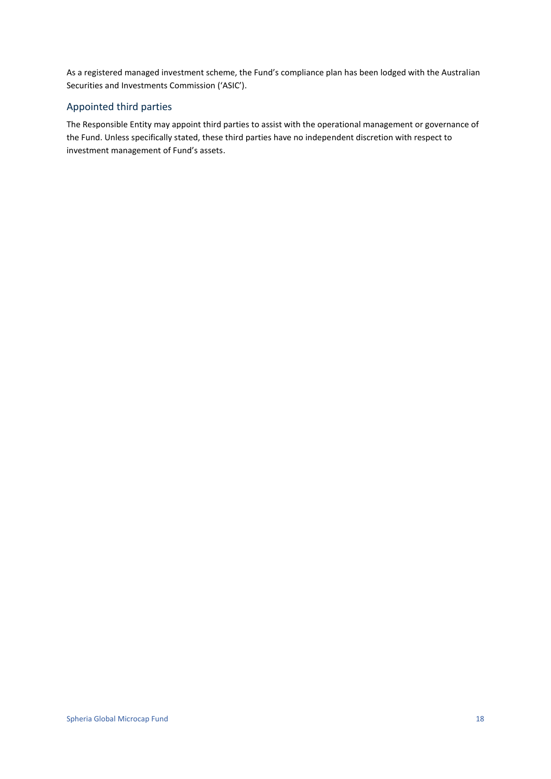As a registered managed investment scheme, the Fund's compliance plan has been lodged with the Australian Securities and Investments Commission ('ASIC').

### Appointed third parties

The Responsible Entity may appoint third parties to assist with the operational management or governance of the Fund. Unless specifically stated, these third parties have no independent discretion with respect to investment management of Fund's assets.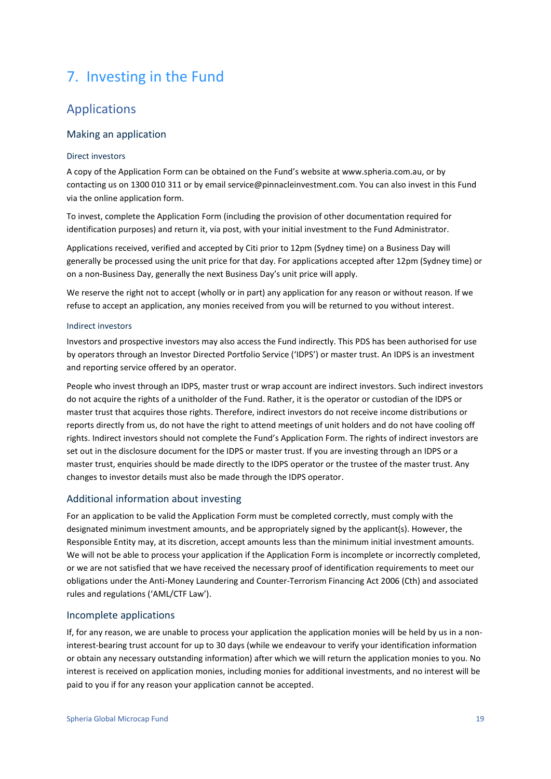## <span id="page-18-0"></span>7. Investing in the Fund

### Applications

### Making an application

### Direct investors

A copy of the Application Form can be obtained on the Fund's website at www.spheria.com.au, or by contacting us on 1300 010 311 or by email service@pinnacleinvestment.com. You can also invest in this Fund via the online application form.

To invest, complete the Application Form (including the provision of other documentation required for identification purposes) and return it, via post, with your initial investment to the Fund Administrator.

Applications received, verified and accepted by Citi prior to 12pm (Sydney time) on a Business Day will generally be processed using the unit price for that day. For applications accepted after 12pm (Sydney time) or on a non-Business Day, generally the next Business Day's unit price will apply.

We reserve the right not to accept (wholly or in part) any application for any reason or without reason. If we refuse to accept an application, any monies received from you will be returned to you without interest.

#### Indirect investors

Investors and prospective investors may also access the Fund indirectly. This PDS has been authorised for use by operators through an Investor Directed Portfolio Service ('IDPS') or master trust. An IDPS is an investment and reporting service offered by an operator.

People who invest through an IDPS, master trust or wrap account are indirect investors. Such indirect investors do not acquire the rights of a unitholder of the Fund. Rather, it is the operator or custodian of the IDPS or master trust that acquires those rights. Therefore, indirect investors do not receive income distributions or reports directly from us, do not have the right to attend meetings of unit holders and do not have cooling off rights. Indirect investors should not complete the Fund's Application Form. The rights of indirect investors are set out in the disclosure document for the IDPS or master trust. If you are investing through an IDPS or a master trust, enquiries should be made directly to the IDPS operator or the trustee of the master trust. Any changes to investor details must also be made through the IDPS operator.

### Additional information about investing

For an application to be valid the Application Form must be completed correctly, must comply with the designated minimum investment amounts, and be appropriately signed by the applicant(s). However, the Responsible Entity may, at its discretion, accept amounts less than the minimum initial investment amounts. We will not be able to process your application if the Application Form is incomplete or incorrectly completed, or we are not satisfied that we have received the necessary proof of identification requirements to meet our obligations under the Anti-Money Laundering and Counter-Terrorism Financing Act 2006 (Cth) and associated rules and regulations ('AML/CTF Law').

### Incomplete applications

If, for any reason, we are unable to process your application the application monies will be held by us in a noninterest-bearing trust account for up to 30 days (while we endeavour to verify your identification information or obtain any necessary outstanding information) after which we will return the application monies to you. No interest is received on application monies, including monies for additional investments, and no interest will be paid to you if for any reason your application cannot be accepted.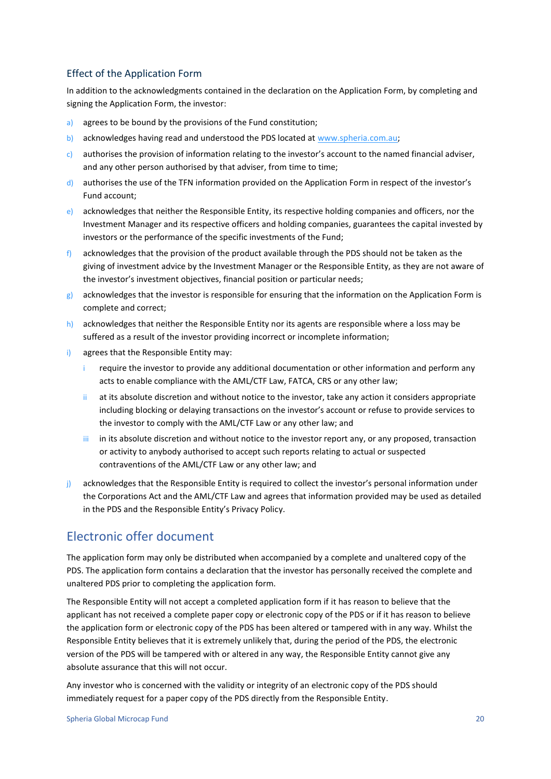### Effect of the Application Form

In addition to the acknowledgments contained in the declaration on the Application Form, by completing and signing the Application Form, the investor:

- a) agrees to be bound by the provisions of the Fund constitution;
- b) acknowledges having read and understood the PDS located at [www.spheria.com.au;](http://www.spheria.com.au/)
- c) authorises the provision of information relating to the investor's account to the named financial adviser, and any other person authorised by that adviser, from time to time;
- d) authorises the use of the TFN information provided on the Application Form in respect of the investor's Fund account;
- e) acknowledges that neither the Responsible Entity, its respective holding companies and officers, nor the Investment Manager and its respective officers and holding companies, guarantees the capital invested by investors or the performance of the specific investments of the Fund;
- $f$ ) acknowledges that the provision of the product available through the PDS should not be taken as the giving of investment advice by the Investment Manager or the Responsible Entity, as they are not aware of the investor's investment objectives, financial position or particular needs;
- g) acknowledges that the investor is responsible for ensuring that the information on the Application Form is complete and correct;
- h) acknowledges that neither the Responsible Entity nor its agents are responsible where a loss may be suffered as a result of the investor providing incorrect or incomplete information;
- i) agrees that the Responsible Entity may:
	- require the investor to provide any additional documentation or other information and perform any acts to enable compliance with the AML/CTF Law, FATCA, CRS or any other law;
	- ii at its absolute discretion and without notice to the investor, take any action it considers appropriate including blocking or delaying transactions on the investor's account or refuse to provide services to the investor to comply with the AML/CTF Law or any other law; and
	- iii in its absolute discretion and without notice to the investor report any, or any proposed, transaction or activity to anybody authorised to accept such reports relating to actual or suspected contraventions of the AML/CTF Law or any other law; and
- j) acknowledges that the Responsible Entity is required to collect the investor's personal information under the Corporations Act and the AML/CTF Law and agrees that information provided may be used as detailed in the PDS and the Responsible Entity's Privacy Policy.

### Electronic offer document

The application form may only be distributed when accompanied by a complete and unaltered copy of the PDS. The application form contains a declaration that the investor has personally received the complete and unaltered PDS prior to completing the application form.

The Responsible Entity will not accept a completed application form if it has reason to believe that the applicant has not received a complete paper copy or electronic copy of the PDS or if it has reason to believe the application form or electronic copy of the PDS has been altered or tampered with in any way. Whilst the Responsible Entity believes that it is extremely unlikely that, during the period of the PDS, the electronic version of the PDS will be tampered with or altered in any way, the Responsible Entity cannot give any absolute assurance that this will not occur.

Any investor who is concerned with the validity or integrity of an electronic copy of the PDS should immediately request for a paper copy of the PDS directly from the Responsible Entity.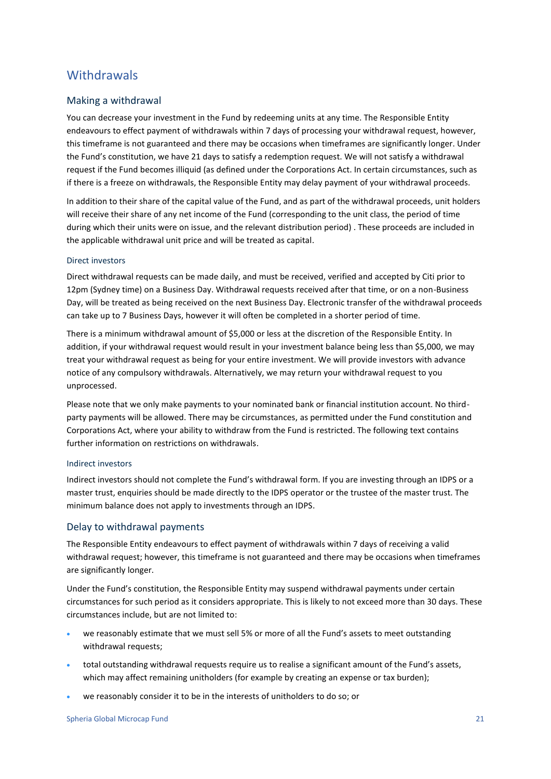### **Withdrawals**

### Making a withdrawal

You can decrease your investment in the Fund by redeeming units at any time. The Responsible Entity endeavours to effect payment of withdrawals within 7 days of processing your withdrawal request, however, this timeframe is not guaranteed and there may be occasions when timeframes are significantly longer. Under the Fund's constitution, we have 21 days to satisfy a redemption request. We will not satisfy a withdrawal request if the Fund becomes illiquid (as defined under the Corporations Act. In certain circumstances, such as if there is a freeze on withdrawals, the Responsible Entity may delay payment of your withdrawal proceeds.

In addition to their share of the capital value of the Fund, and as part of the withdrawal proceeds, unit holders will receive their share of any net income of the Fund (corresponding to the unit class, the period of time during which their units were on issue, and the relevant distribution period) . These proceeds are included in the applicable withdrawal unit price and will be treated as capital.

#### Direct investors

Direct withdrawal requests can be made daily, and must be received, verified and accepted by Citi prior to 12pm (Sydney time) on a Business Day. Withdrawal requests received after that time, or on a non-Business Day, will be treated as being received on the next Business Day. Electronic transfer of the withdrawal proceeds can take up to 7 Business Days, however it will often be completed in a shorter period of time.

There is a minimum withdrawal amount of \$5,000 or less at the discretion of the Responsible Entity. In addition, if your withdrawal request would result in your investment balance being less than \$5,000, we may treat your withdrawal request as being for your entire investment. We will provide investors with advance notice of any compulsory withdrawals. Alternatively, we may return your withdrawal request to you unprocessed.

Please note that we only make payments to your nominated bank or financial institution account. No thirdparty payments will be allowed. There may be circumstances, as permitted under the Fund constitution and Corporations Act, where your ability to withdraw from the Fund is restricted. The following text contains further information on restrictions on withdrawals.

#### Indirect investors

Indirect investors should not complete the Fund's withdrawal form. If you are investing through an IDPS or a master trust, enquiries should be made directly to the IDPS operator or the trustee of the master trust. The minimum balance does not apply to investments through an IDPS.

### Delay to withdrawal payments

The Responsible Entity endeavours to effect payment of withdrawals within 7 days of receiving a valid withdrawal request; however, this timeframe is not guaranteed and there may be occasions when timeframes are significantly longer.

Under the Fund's constitution, the Responsible Entity may suspend withdrawal payments under certain circumstances for such period as it considers appropriate. This is likely to not exceed more than 30 days. These circumstances include, but are not limited to:

- we reasonably estimate that we must sell 5% or more of all the Fund's assets to meet outstanding withdrawal requests;
- total outstanding withdrawal requests require us to realise a significant amount of the Fund's assets, which may affect remaining unitholders (for example by creating an expense or tax burden);
- we reasonably consider it to be in the interests of unitholders to do so; or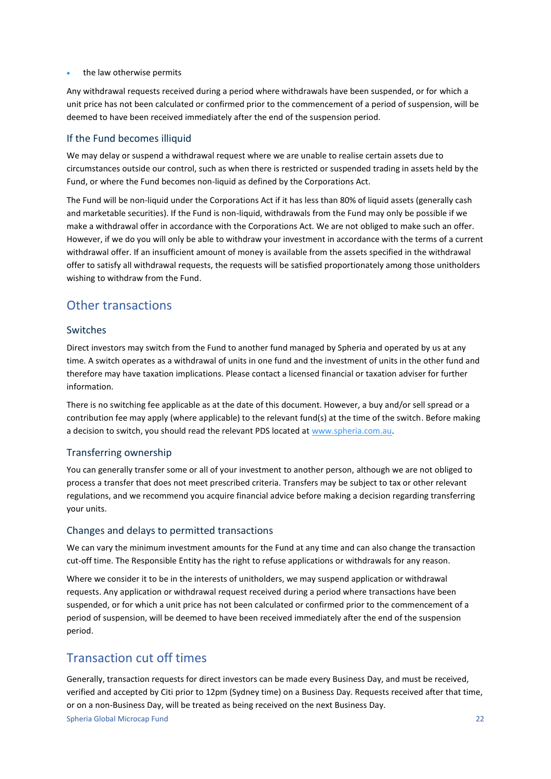the law otherwise permits

Any withdrawal requests received during a period where withdrawals have been suspended, or for which a unit price has not been calculated or confirmed prior to the commencement of a period of suspension, will be deemed to have been received immediately after the end of the suspension period.

### If the Fund becomes illiquid

We may delay or suspend a withdrawal request where we are unable to realise certain assets due to circumstances outside our control, such as when there is restricted or suspended trading in assets held by the Fund, or where the Fund becomes non-liquid as defined by the Corporations Act.

The Fund will be non-liquid under the Corporations Act if it has less than 80% of liquid assets (generally cash and marketable securities). If the Fund is non-liquid, withdrawals from the Fund may only be possible if we make a withdrawal offer in accordance with the Corporations Act. We are not obliged to make such an offer. However, if we do you will only be able to withdraw your investment in accordance with the terms of a current withdrawal offer. If an insufficient amount of money is available from the assets specified in the withdrawal offer to satisfy all withdrawal requests, the requests will be satisfied proportionately among those unitholders wishing to withdraw from the Fund.

### Other transactions

### Switches

Direct investors may switch from the Fund to another fund managed by Spheria and operated by us at any time. A switch operates as a withdrawal of units in one fund and the investment of units in the other fund and therefore may have taxation implications. Please contact a licensed financial or taxation adviser for further information.

There is no switching fee applicable as at the date of this document. However, a buy and/or sell spread or a contribution fee may apply (where applicable) to the relevant fund(s) at the time of the switch. Before making a decision to switch, you should read the relevant PDS located at [www.spheria.com.au.](http://www.spheria.com.au/)

### Transferring ownership

You can generally transfer some or all of your investment to another person, although we are not obliged to process a transfer that does not meet prescribed criteria. Transfers may be subject to tax or other relevant regulations, and we recommend you acquire financial advice before making a decision regarding transferring your units.

### Changes and delays to permitted transactions

We can vary the minimum investment amounts for the Fund at any time and can also change the transaction cut-off time. The Responsible Entity has the right to refuse applications or withdrawals for any reason.

Where we consider it to be in the interests of unitholders, we may suspend application or withdrawal requests. Any application or withdrawal request received during a period where transactions have been suspended, or for which a unit price has not been calculated or confirmed prior to the commencement of a period of suspension, will be deemed to have been received immediately after the end of the suspension period.

### Transaction cut off times

Generally, transaction requests for direct investors can be made every Business Day, and must be received, verified and accepted by Citi prior to 12pm (Sydney time) on a Business Day. Requests received after that time, or on a non-Business Day, will be treated as being received on the next Business Day.

Spheria Global Microcap Fund 22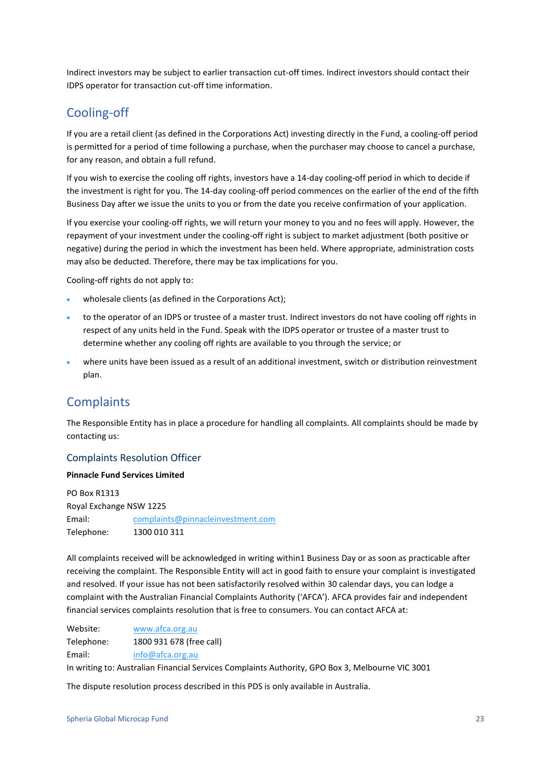Indirect investors may be subject to earlier transaction cut-off times. Indirect investors should contact their IDPS operator for transaction cut-off time information.

### Cooling-off

If you are a retail client (as defined in the Corporations Act) investing directly in the Fund, a cooling-off period is permitted for a period of time following a purchase, when the purchaser may choose to cancel a purchase, for any reason, and obtain a full refund.

If you wish to exercise the cooling off rights, investors have a 14-day cooling-off period in which to decide if the investment is right for you. The 14-day cooling-off period commences on the earlier of the end of the fifth Business Day after we issue the units to you or from the date you receive confirmation of your application.

If you exercise your cooling-off rights, we will return your money to you and no fees will apply. However, the repayment of your investment under the cooling-off right is subject to market adjustment (both positive or negative) during the period in which the investment has been held. Where appropriate, administration costs may also be deducted. Therefore, there may be tax implications for you.

Cooling-off rights do not apply to:

- wholesale clients (as defined in the Corporations Act);
- to the operator of an IDPS or trustee of a master trust. Indirect investors do not have cooling off rights in respect of any units held in the Fund. Speak with the IDPS operator or trustee of a master trust to determine whether any cooling off rights are available to you through the service; or
- where units have been issued as a result of an additional investment, switch or distribution reinvestment plan.

### **Complaints**

The Responsible Entity has in place a procedure for handling all complaints. All complaints should be made by contacting us:

### Complaints Resolution Officer

#### **Pinnacle Fund Services Limited**

PO Box R1313 Royal Exchange NSW 1225 Email: complaints@pinnacleinvestment.com Telephone: 1300 010 311

All complaints received will be acknowledged in writing within1 Business Day or as soon as practicable after receiving the complaint. The Responsible Entity will act in good faith to ensure your complaint is investigated and resolved. If your issue has not been satisfactorily resolved within 30 calendar days, you can lodge a complaint with the Australian Financial Complaints Authority ('AFCA'). AFCA provides fair and independent financial services complaints resolution that is free to consumers. You can contact AFCA at:

Website: [www.afca.org.au](http://www.afca.org.au/) Telephone: 1800 931 678 (free call) Email: [info@afca.org.au](mailto:info@afca.org.au)

In writing to: Australian Financial Services Complaints Authority, GPO Box 3, Melbourne VIC 3001

The dispute resolution process described in this PDS is only available in Australia.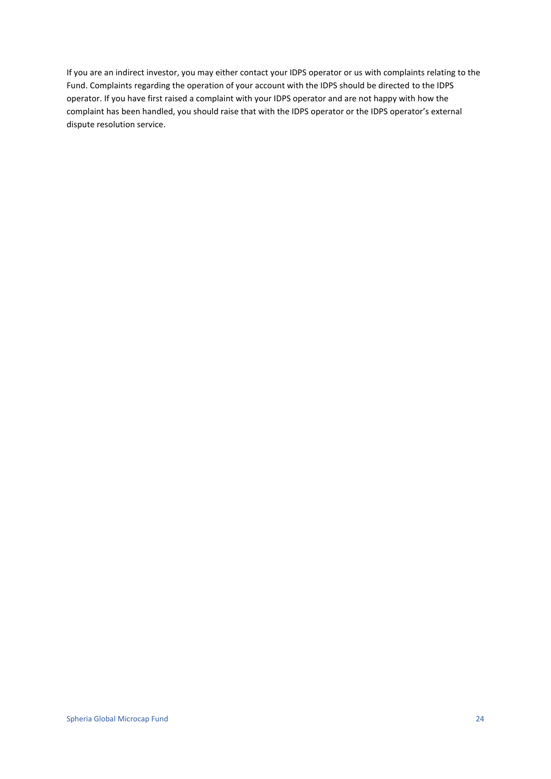If you are an indirect investor, you may either contact your IDPS operator or us with complaints relating to the Fund. Complaints regarding the operation of your account with the IDPS should be directed to the IDPS operator. If you have first raised a complaint with your IDPS operator and are not happy with how the complaint has been handled, you should raise that with the IDPS operator or the IDPS operator's external dispute resolution service.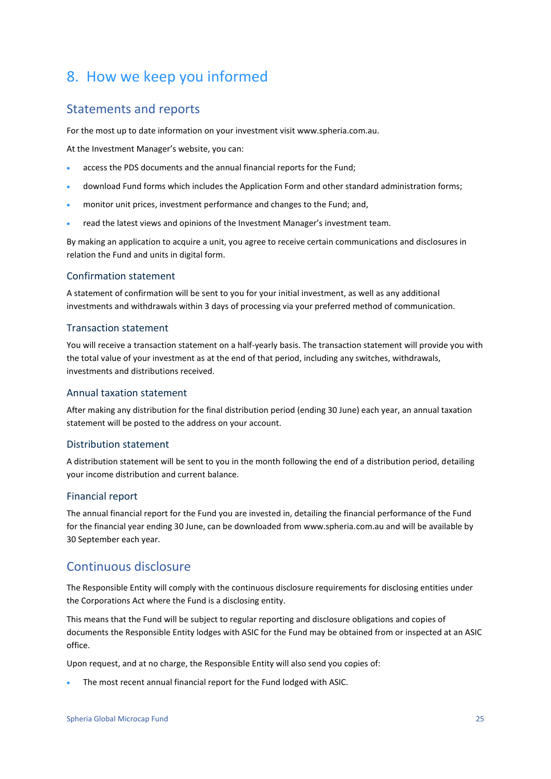## <span id="page-24-0"></span>8. How we keep you informed

### Statements and reports

For the most up to date information on your investment visit www.spheria.com.au.

At the Investment Manager's website, you can:

- access the PDS documents and the annual financial reports for the Fund;
- download Fund forms which includes the Application Form and other standard administration forms;
- monitor unit prices, investment performance and changes to the Fund; and,
- read the latest views and opinions of the Investment Manager's investment team.

By making an application to acquire a unit, you agree to receive certain communications and disclosures in relation the Fund and units in digital form.

### Confirmation statement

A statement of confirmation will be sent to you for your initial investment, as well as any additional investments and withdrawals within 3 days of processing via your preferred method of communication.

### Transaction statement

You will receive a transaction statement on a half-yearly basis. The transaction statement will provide you with the total value of your investment as at the end of that period, including any switches, withdrawals, investments and distributions received.

### Annual taxation statement

After making any distribution for the final distribution period (ending 30 June) each year, an annual taxation statement will be posted to the address on your account.

### Distribution statement

A distribution statement will be sent to you in the month following the end of a distribution period, detailing your income distribution and current balance.

### Financial report

The annual financial report for the Fund you are invested in, detailing the financial performance of the Fund for the financial year ending 30 June, can be downloaded from www.spheria.com.au and will be available by 30 September each year.

### Continuous disclosure

The Responsible Entity will comply with the continuous disclosure requirements for disclosing entities under the Corporations Act where the Fund is a disclosing entity.

This means that the Fund will be subject to regular reporting and disclosure obligations and copies of documents the Responsible Entity lodges with ASIC for the Fund may be obtained from or inspected at an ASIC office.

Upon request, and at no charge, the Responsible Entity will also send you copies of:

The most recent annual financial report for the Fund lodged with ASIC.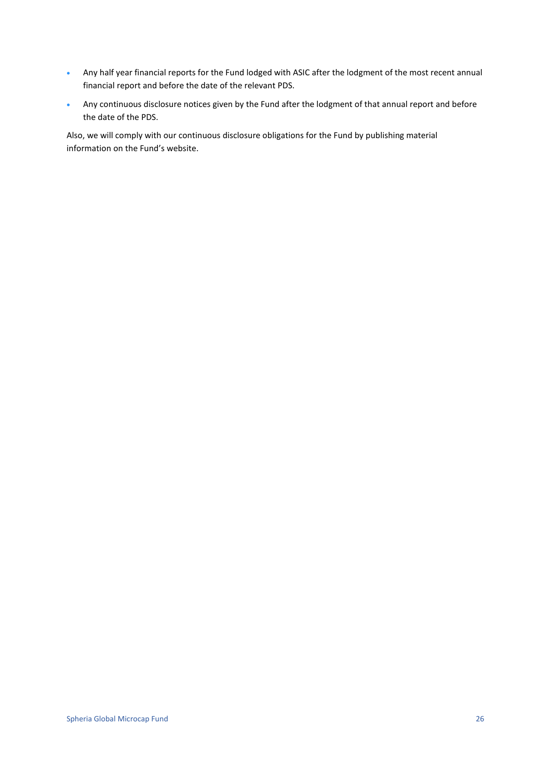- Any half year financial reports for the Fund lodged with ASIC after the lodgment of the most recent annual financial report and before the date of the relevant PDS.
- Any continuous disclosure notices given by the Fund after the lodgment of that annual report and before the date of the PDS.

Also, we will comply with our continuous disclosure obligations for the Fund by publishing material information on the Fund's website.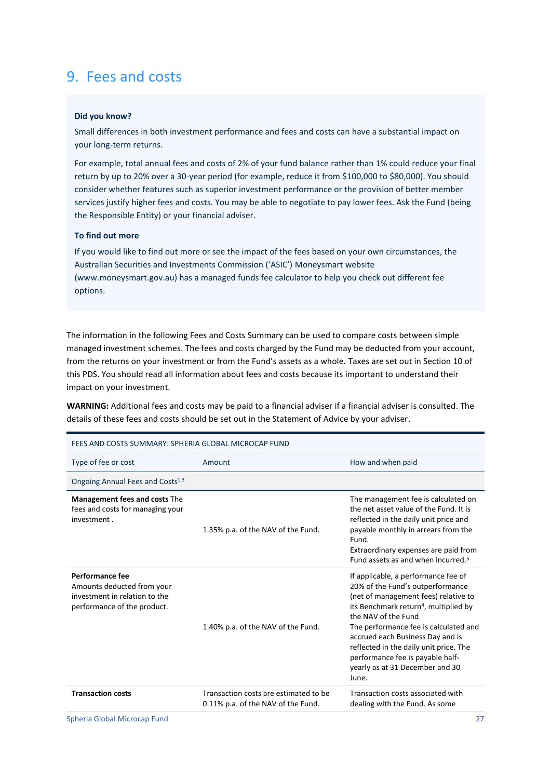## <span id="page-26-0"></span>9. Fees and costs

#### **Did you know?**

Small differences in both investment performance and fees and costs can have a substantial impact on your long-term returns.

For example, total annual fees and costs of 2% of your fund balance rather than 1% could reduce your final return by up to 20% over a 30-year period (for example, reduce it from \$100,000 to \$80,000). You should consider whether features such as superior investment performance or the provision of better member services justify higher fees and costs. You may be able to negotiate to pay lower fees. Ask the Fund (being the Responsible Entity) or your financial adviser.

#### **To find out more**

If you would like to find out more or see the impact of the fees based on your own circumstances, the Australian Securities and Investments Commission ('ASIC') Moneysmart website (www.moneysmart.gov.au) has a managed funds fee calculator to help you check out different fee options.

The information in the following Fees and Costs Summary can be used to compare costs between simple managed investment schemes. The fees and costs charged by the Fund may be deducted from your account, from the returns on your investment or from the Fund's assets as a whole. Taxes are set out in Sectio[n 10](#page-33-0) of this PDS. You should read all information about fees and costs because its important to understand their impact on your investment.

**WARNING:** Additional fees and costs may be paid to a financial adviser if a financial adviser is consulted. The details of these fees and costs should be set out in the Statement of Advice by your adviser.

| FEES AND COSTS SUMMARY: SPHERIA GLOBAL MICROCAP FUND                                                          |                                                                             |                                                                                                                                                                                                                                                                                                                                                                                                    |
|---------------------------------------------------------------------------------------------------------------|-----------------------------------------------------------------------------|----------------------------------------------------------------------------------------------------------------------------------------------------------------------------------------------------------------------------------------------------------------------------------------------------------------------------------------------------------------------------------------------------|
| Type of fee or cost                                                                                           | Amount                                                                      | How and when paid                                                                                                                                                                                                                                                                                                                                                                                  |
| Ongoing Annual Fees and Costs <sup>1,3</sup>                                                                  |                                                                             |                                                                                                                                                                                                                                                                                                                                                                                                    |
| Management fees and costs The<br>fees and costs for managing your<br>investment.                              | 1.35% p.a. of the NAV of the Fund.                                          | The management fee is calculated on<br>the net asset value of the Fund. It is<br>reflected in the daily unit price and<br>payable monthly in arrears from the<br>Fund.<br>Extraordinary expenses are paid from<br>Fund assets as and when incurred. <sup>5</sup>                                                                                                                                   |
| Performance fee<br>Amounts deducted from your<br>investment in relation to the<br>performance of the product. | 1.40% p.a. of the NAV of the Fund.                                          | If applicable, a performance fee of<br>20% of the Fund's outperformance<br>(net of management fees) relative to<br>its Benchmark return <sup>4</sup> , multiplied by<br>the NAV of the Fund<br>The performance fee is calculated and<br>accrued each Business Day and is<br>reflected in the daily unit price. The<br>performance fee is payable half-<br>yearly as at 31 December and 30<br>June. |
| <b>Transaction costs</b>                                                                                      | Transaction costs are estimated to be<br>0.11% p.a. of the NAV of the Fund. | Transaction costs associated with<br>dealing with the Fund. As some                                                                                                                                                                                                                                                                                                                                |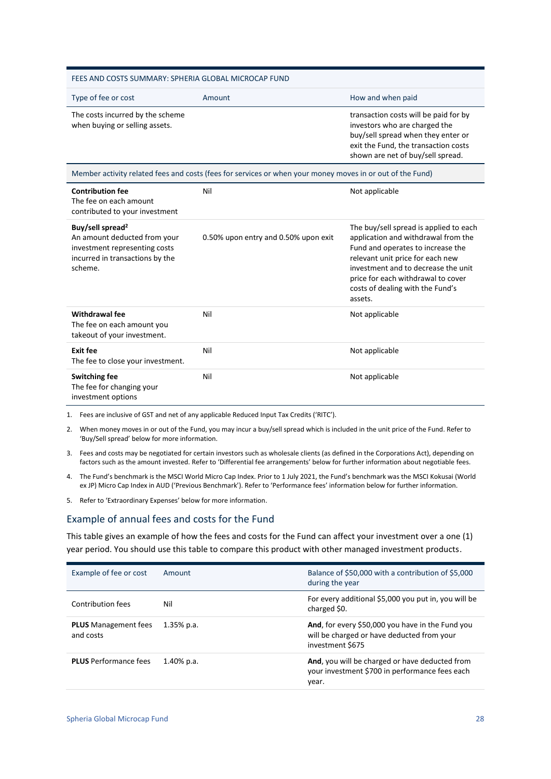| FEES AND COSTS SUMMARY: SPHERIA GLOBAL MICROCAP FUND                                                                                        |                                                                                                           |                                                                                                                                                                                                                                                                                    |
|---------------------------------------------------------------------------------------------------------------------------------------------|-----------------------------------------------------------------------------------------------------------|------------------------------------------------------------------------------------------------------------------------------------------------------------------------------------------------------------------------------------------------------------------------------------|
| Type of fee or cost                                                                                                                         | Amount                                                                                                    | How and when paid                                                                                                                                                                                                                                                                  |
| The costs incurred by the scheme<br>when buying or selling assets.                                                                          |                                                                                                           | transaction costs will be paid for by<br>investors who are charged the<br>buy/sell spread when they enter or<br>exit the Fund, the transaction costs<br>shown are net of buy/sell spread.                                                                                          |
|                                                                                                                                             | Member activity related fees and costs (fees for services or when your money moves in or out of the Fund) |                                                                                                                                                                                                                                                                                    |
| <b>Contribution fee</b><br>The fee on each amount<br>contributed to your investment                                                         | Nil                                                                                                       | Not applicable                                                                                                                                                                                                                                                                     |
| Buy/sell spread <sup>2</sup><br>An amount deducted from your<br>investment representing costs<br>incurred in transactions by the<br>scheme. | 0.50% upon entry and 0.50% upon exit                                                                      | The buy/sell spread is applied to each<br>application and withdrawal from the<br>Fund and operates to increase the<br>relevant unit price for each new<br>investment and to decrease the unit<br>price for each withdrawal to cover<br>costs of dealing with the Fund's<br>assets. |
| Withdrawal fee<br>The fee on each amount you<br>takeout of your investment.                                                                 | Nil                                                                                                       | Not applicable                                                                                                                                                                                                                                                                     |
| Exit fee<br>The fee to close your investment.                                                                                               | Nil                                                                                                       | Not applicable                                                                                                                                                                                                                                                                     |
| <b>Switching fee</b><br>The fee for changing your<br>investment options                                                                     | Nil                                                                                                       | Not applicable                                                                                                                                                                                                                                                                     |

1. Fees are inclusive of GST and net of any applicable Reduced Input Tax Credits ('RITC').

- 2. When money moves in or out of the Fund, you may incur a buy/sell spread which is included in the unit price of the Fund. Refer to 'Buy/Sell spread' below for more information.
- 3. Fees and costs may be negotiated for certain investors such as wholesale clients (as defined in the Corporations Act), depending on factors such as the amount invested. Refer to 'Differential fee arrangements' below for further information about negotiable fees.
- 4. The Fund's benchmark is the MSCI World Micro Cap Index. Prior to 1 July 2021, the Fund's benchmark was the MSCI Kokusai (World ex JP) Micro Cap Index in AUD ('Previous Benchmark'). Refer to 'Performance fees' information below for further information.

5. Refer to 'Extraordinary Expenses' below for more information.

#### Example of annual fees and costs for the Fund

This table gives an example of how the fees and costs for the Fund can affect your investment over a one (1) year period. You should use this table to compare this product with other managed investment products.

| Example of fee or cost                   | Amount        | Balance of \$50,000 with a contribution of \$5,000<br>during the year                                              |
|------------------------------------------|---------------|--------------------------------------------------------------------------------------------------------------------|
| Contribution fees                        | Nil           | For every additional \$5,000 you put in, you will be<br>charged \$0.                                               |
| <b>PLUS</b> Management fees<br>and costs | $1.35\%$ p.a. | And, for every \$50,000 you have in the Fund you<br>will be charged or have deducted from your<br>investment \$675 |
| <b>PLUS</b> Performance fees             | $1.40\%$ p.a. | And, you will be charged or have deducted from<br>your investment \$700 in performance fees each<br>year.          |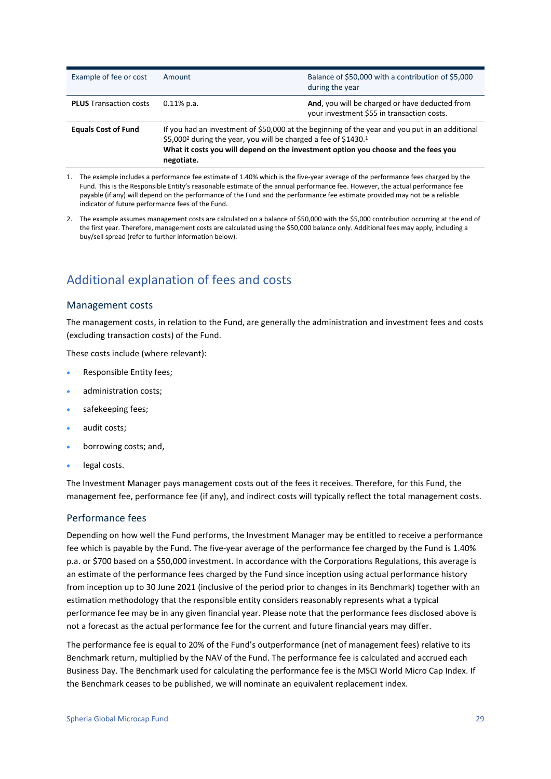| Example of fee or cost        | Amount                                                                                                                                                                                                                                                                                        | Balance of \$50,000 with a contribution of \$5,000<br>during the year                        |
|-------------------------------|-----------------------------------------------------------------------------------------------------------------------------------------------------------------------------------------------------------------------------------------------------------------------------------------------|----------------------------------------------------------------------------------------------|
| <b>PLUS</b> Transaction costs | $0.11\%$ p.a.                                                                                                                                                                                                                                                                                 | And, you will be charged or have deducted from<br>your investment \$55 in transaction costs. |
| <b>Equals Cost of Fund</b>    | If you had an investment of \$50,000 at the beginning of the year and you put in an additional<br>\$5,000 <sup>2</sup> during the year, you will be charged a fee of \$1430. <sup>1</sup><br>What it costs you will depend on the investment option you choose and the fees you<br>negotiate. |                                                                                              |

- 1. The example includes a performance fee estimate of 1.40% which is the five-year average of the performance fees charged by the Fund. This is the Responsible Entity's reasonable estimate of the annual performance fee. However, the actual performance fee payable (if any) will depend on the performance of the Fund and the performance fee estimate provided may not be a reliable indicator of future performance fees of the Fund.
- 2. The example assumes management costs are calculated on a balance of \$50,000 with the \$5,000 contribution occurring at the end of the first year. Therefore, management costs are calculated using the \$50,000 balance only. Additional fees may apply, including a buy/sell spread (refer to further information below).

### Additional explanation of fees and costs

### Management costs

The management costs, in relation to the Fund, are generally the administration and investment fees and costs (excluding transaction costs) of the Fund.

These costs include (where relevant):

- Responsible Entity fees;
- administration costs;
- safekeeping fees;
- audit costs;
- borrowing costs; and,
- legal costs.

The Investment Manager pays management costs out of the fees it receives. Therefore, for this Fund, the management fee, performance fee (if any), and indirect costs will typically reflect the total management costs.

### Performance fees

Depending on how well the Fund performs, the Investment Manager may be entitled to receive a performance fee which is payable by the Fund. The five-year average of the performance fee charged by the Fund is 1.40% p.a. or \$700 based on a \$50,000 investment. In accordance with the Corporations Regulations, this average is an estimate of the performance fees charged by the Fund since inception using actual performance history from inception up to 30 June 2021 (inclusive of the period prior to changes in its Benchmark) together with an estimation methodology that the responsible entity considers reasonably represents what a typical performance fee may be in any given financial year. Please note that the performance fees disclosed above is not a forecast as the actual performance fee for the current and future financial years may differ.

The performance fee is equal to 20% of the Fund's outperformance (net of management fees) relative to its Benchmark return, multiplied by the NAV of the Fund. The performance fee is calculated and accrued each Business Day. The Benchmark used for calculating the performance fee is the MSCI World Micro Cap Index. If the Benchmark ceases to be published, we will nominate an equivalent replacement index.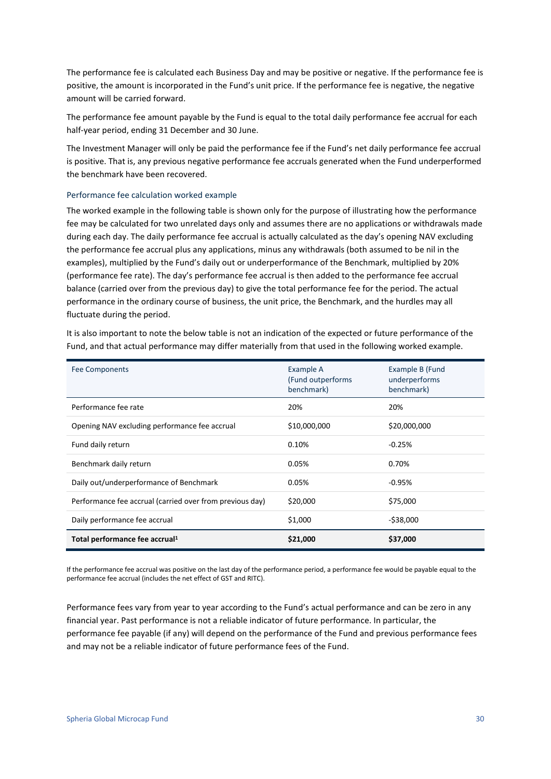The performance fee is calculated each Business Day and may be positive or negative. If the performance fee is positive, the amount is incorporated in the Fund's unit price. If the performance fee is negative, the negative amount will be carried forward.

The performance fee amount payable by the Fund is equal to the total daily performance fee accrual for each half-year period, ending 31 December and 30 June.

The Investment Manager will only be paid the performance fee if the Fund's net daily performance fee accrual is positive. That is, any previous negative performance fee accruals generated when the Fund underperformed the benchmark have been recovered.

#### Performance fee calculation worked example

The worked example in the following table is shown only for the purpose of illustrating how the performance fee may be calculated for two unrelated days only and assumes there are no applications or withdrawals made during each day. The daily performance fee accrual is actually calculated as the day's opening NAV excluding the performance fee accrual plus any applications, minus any withdrawals (both assumed to be nil in the examples), multiplied by the Fund's daily out or underperformance of the Benchmark, multiplied by 20% (performance fee rate). The day's performance fee accrual is then added to the performance fee accrual balance (carried over from the previous day) to give the total performance fee for the period. The actual performance in the ordinary course of business, the unit price, the Benchmark, and the hurdles may all fluctuate during the period.

It is also important to note the below table is not an indication of the expected or future performance of the Fund, and that actual performance may differ materially from that used in the following worked example.

| <b>Fee Components</b>                                    | Example A<br>(Fund outperforms)<br>benchmark) | Example B (Fund<br>underperforms<br>benchmark) |
|----------------------------------------------------------|-----------------------------------------------|------------------------------------------------|
| Performance fee rate                                     | 20%                                           | 20%                                            |
| Opening NAV excluding performance fee accrual            | \$10,000,000                                  | \$20,000,000                                   |
| Fund daily return                                        | 0.10%                                         | $-0.25%$                                       |
| Benchmark daily return                                   | 0.05%                                         | 0.70%                                          |
| Daily out/underperformance of Benchmark                  | 0.05%                                         | $-0.95%$                                       |
| Performance fee accrual (carried over from previous day) | \$20,000                                      | \$75,000                                       |
| Daily performance fee accrual                            | \$1,000                                       | $-$ \$38,000                                   |
| Total performance fee accrual <sup>1</sup>               | \$21,000                                      | \$37,000                                       |

If the performance fee accrual was positive on the last day of the performance period, a performance fee would be payable equal to the performance fee accrual (includes the net effect of GST and RITC).

Performance fees vary from year to year according to the Fund's actual performance and can be zero in any financial year. Past performance is not a reliable indicator of future performance. In particular, the performance fee payable (if any) will depend on the performance of the Fund and previous performance fees and may not be a reliable indicator of future performance fees of the Fund.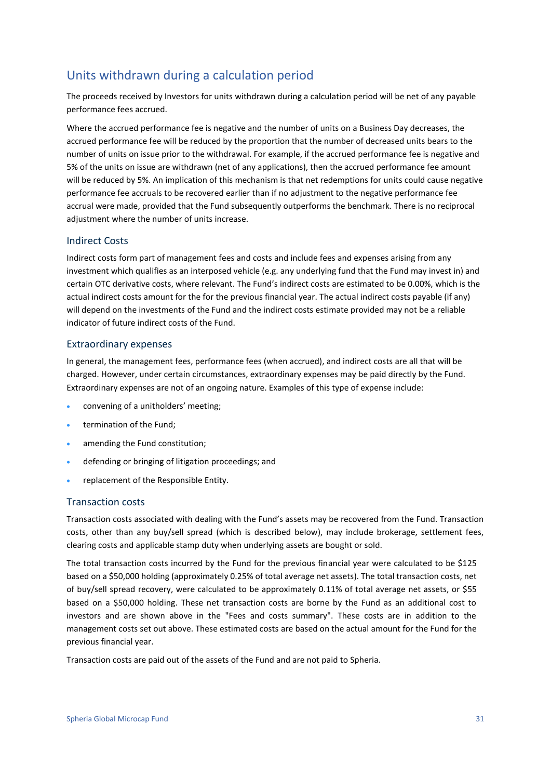### Units withdrawn during a calculation period

The proceeds received by Investors for units withdrawn during a calculation period will be net of any payable performance fees accrued.

Where the accrued performance fee is negative and the number of units on a Business Day decreases, the accrued performance fee will be reduced by the proportion that the number of decreased units bears to the number of units on issue prior to the withdrawal. For example, if the accrued performance fee is negative and 5% of the units on issue are withdrawn (net of any applications), then the accrued performance fee amount will be reduced by 5%. An implication of this mechanism is that net redemptions for units could cause negative performance fee accruals to be recovered earlier than if no adjustment to the negative performance fee accrual were made, provided that the Fund subsequently outperforms the benchmark. There is no reciprocal adjustment where the number of units increase.

### Indirect Costs

Indirect costs form part of management fees and costs and include fees and expenses arising from any investment which qualifies as an interposed vehicle (e.g. any underlying fund that the Fund may invest in) and certain OTC derivative costs, where relevant. The Fund's indirect costs are estimated to be 0.00%, which is the actual indirect costs amount for the for the previous financial year. The actual indirect costs payable (if any) will depend on the investments of the Fund and the indirect costs estimate provided may not be a reliable indicator of future indirect costs of the Fund.

### Extraordinary expenses

In general, the management fees, performance fees (when accrued), and indirect costs are all that will be charged. However, under certain circumstances, extraordinary expenses may be paid directly by the Fund. Extraordinary expenses are not of an ongoing nature. Examples of this type of expense include:

- convening of a unitholders' meeting;
- termination of the Fund:
- amending the Fund constitution;
- defending or bringing of litigation proceedings; and
- replacement of the Responsible Entity.

### Transaction costs

Transaction costs associated with dealing with the Fund's assets may be recovered from the Fund. Transaction costs, other than any buy/sell spread (which is described below), may include brokerage, settlement fees, clearing costs and applicable stamp duty when underlying assets are bought or sold.

The total transaction costs incurred by the Fund for the previous financial year were calculated to be \$125 based on a \$50,000 holding (approximately 0.25% of total average net assets). The total transaction costs, net of buy/sell spread recovery, were calculated to be approximately 0.11% of total average net assets, or \$55 based on a \$50,000 holding. These net transaction costs are borne by the Fund as an additional cost to investors and are shown above in the "Fees and costs summary". These costs are in addition to the management costs set out above. These estimated costs are based on the actual amount for the Fund for the previous financial year.

Transaction costs are paid out of the assets of the Fund and are not paid to Spheria.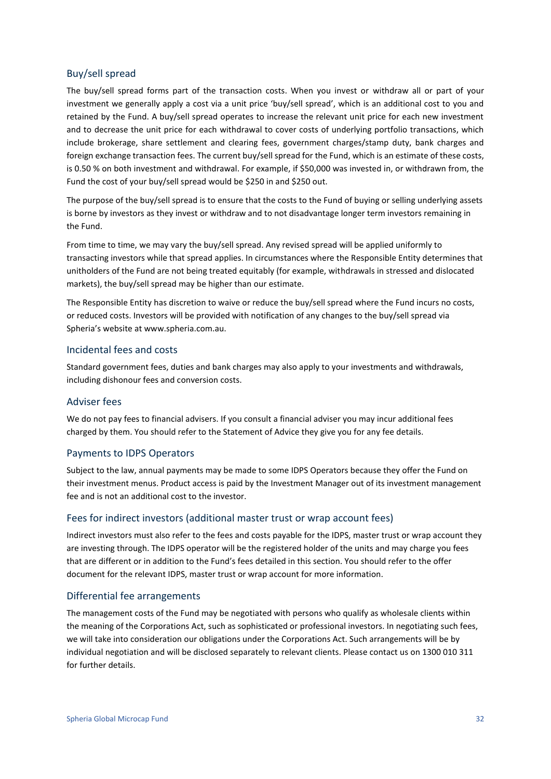### Buy/sell spread

The buy/sell spread forms part of the transaction costs. When you invest or withdraw all or part of your investment we generally apply a cost via a unit price 'buy/sell spread', which is an additional cost to you and retained by the Fund. A buy/sell spread operates to increase the relevant unit price for each new investment and to decrease the unit price for each withdrawal to cover costs of underlying portfolio transactions, which include brokerage, share settlement and clearing fees, government charges/stamp duty, bank charges and foreign exchange transaction fees. The current buy/sell spread for the Fund, which is an estimate of these costs, is 0.50 % on both investment and withdrawal. For example, if \$50,000 was invested in, or withdrawn from, the Fund the cost of your buy/sell spread would be \$250 in and \$250 out.

The purpose of the buy/sell spread is to ensure that the costs to the Fund of buying or selling underlying assets is borne by investors as they invest or withdraw and to not disadvantage longer term investors remaining in the Fund.

From time to time, we may vary the buy/sell spread. Any revised spread will be applied uniformly to transacting investors while that spread applies. In circumstances where the Responsible Entity determines that unitholders of the Fund are not being treated equitably (for example, withdrawals in stressed and dislocated markets), the buy/sell spread may be higher than our estimate.

The Responsible Entity has discretion to waive or reduce the buy/sell spread where the Fund incurs no costs, or reduced costs. Investors will be provided with notification of any changes to the buy/sell spread via Spheria's website at www.spheria.com.au.

### Incidental fees and costs

Standard government fees, duties and bank charges may also apply to your investments and withdrawals, including dishonour fees and conversion costs.

### Adviser fees

We do not pay fees to financial advisers. If you consult a financial adviser you may incur additional fees charged by them. You should refer to the Statement of Advice they give you for any fee details.

### Payments to IDPS Operators

Subject to the law, annual payments may be made to some IDPS Operators because they offer the Fund on their investment menus. Product access is paid by the Investment Manager out of its investment management fee and is not an additional cost to the investor.

#### Fees for indirect investors (additional master trust or wrap account fees)

Indirect investors must also refer to the fees and costs payable for the IDPS, master trust or wrap account they are investing through. The IDPS operator will be the registered holder of the units and may charge you fees that are different or in addition to the Fund's fees detailed in this section. You should refer to the offer document for the relevant IDPS, master trust or wrap account for more information.

### Differential fee arrangements

The management costs of the Fund may be negotiated with persons who qualify as wholesale clients within the meaning of the Corporations Act, such as sophisticated or professional investors. In negotiating such fees, we will take into consideration our obligations under the Corporations Act. Such arrangements will be by individual negotiation and will be disclosed separately to relevant clients. Please contact us on 1300 010 311 for further details.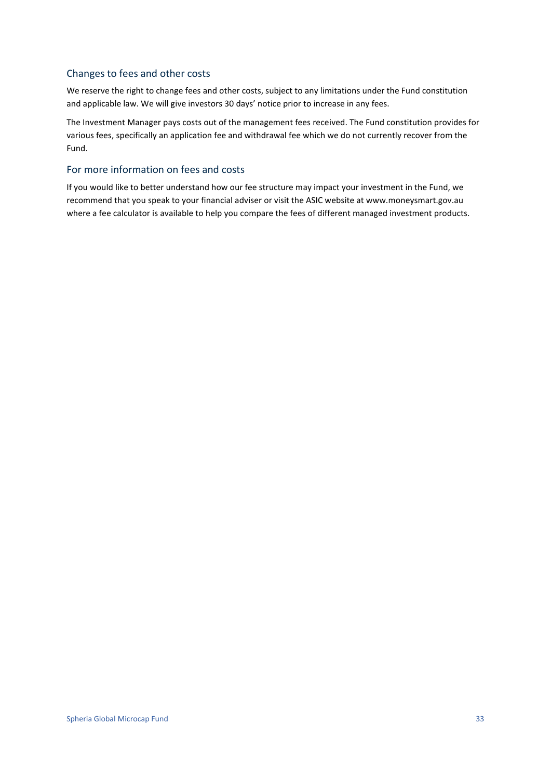### Changes to fees and other costs

We reserve the right to change fees and other costs, subject to any limitations under the Fund constitution and applicable law. We will give investors 30 days' notice prior to increase in any fees.

The Investment Manager pays costs out of the management fees received. The Fund constitution provides for various fees, specifically an application fee and withdrawal fee which we do not currently recover from the Fund.

### For more information on fees and costs

If you would like to better understand how our fee structure may impact your investment in the Fund, we recommend that you speak to your financial adviser or visit the ASIC website at www.moneysmart.gov.au where a fee calculator is available to help you compare the fees of different managed investment products.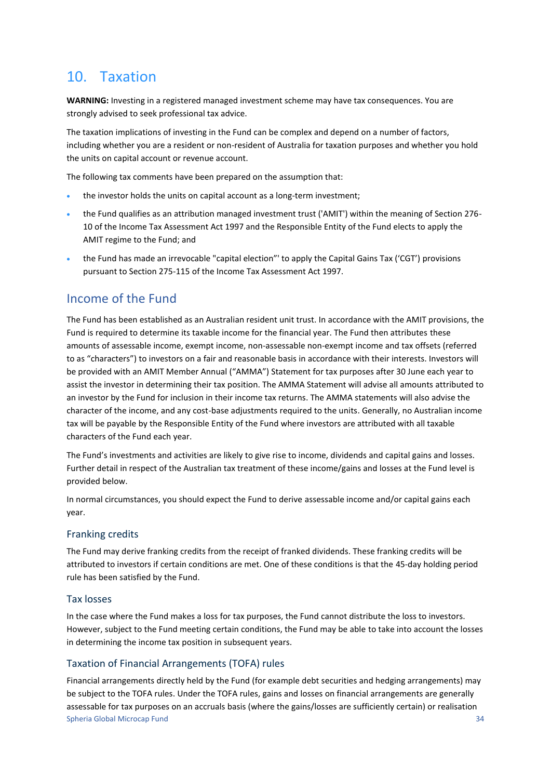## <span id="page-33-0"></span>10. Taxation

**WARNING:** Investing in a registered managed investment scheme may have tax consequences. You are strongly advised to seek professional tax advice.

The taxation implications of investing in the Fund can be complex and depend on a number of factors, including whether you are a resident or non-resident of Australia for taxation purposes and whether you hold the units on capital account or revenue account.

The following tax comments have been prepared on the assumption that:

- the investor holds the units on capital account as a long-term investment;
- the Fund qualifies as an attribution managed investment trust ('AMIT') within the meaning of Section 276- 10 of the Income Tax Assessment Act 1997 and the Responsible Entity of the Fund elects to apply the AMIT regime to the Fund; and
- the Fund has made an irrevocable "capital election"' to apply the Capital Gains Tax ('CGT') provisions pursuant to Section 275-115 of the Income Tax Assessment Act 1997.

### Income of the Fund

The Fund has been established as an Australian resident unit trust. In accordance with the AMIT provisions, the Fund is required to determine its taxable income for the financial year. The Fund then attributes these amounts of assessable income, exempt income, non-assessable non-exempt income and tax offsets (referred to as "characters") to investors on a fair and reasonable basis in accordance with their interests. Investors will be provided with an AMIT Member Annual ("AMMA") Statement for tax purposes after 30 June each year to assist the investor in determining their tax position. The AMMA Statement will advise all amounts attributed to an investor by the Fund for inclusion in their income tax returns. The AMMA statements will also advise the character of the income, and any cost-base adjustments required to the units. Generally, no Australian income tax will be payable by the Responsible Entity of the Fund where investors are attributed with all taxable characters of the Fund each year.

The Fund's investments and activities are likely to give rise to income, dividends and capital gains and losses. Further detail in respect of the Australian tax treatment of these income/gains and losses at the Fund level is provided below.

In normal circumstances, you should expect the Fund to derive assessable income and/or capital gains each year.

### Franking credits

The Fund may derive franking credits from the receipt of franked dividends. These franking credits will be attributed to investors if certain conditions are met. One of these conditions is that the 45-day holding period rule has been satisfied by the Fund.

### Tax losses

In the case where the Fund makes a loss for tax purposes, the Fund cannot distribute the loss to investors. However, subject to the Fund meeting certain conditions, the Fund may be able to take into account the losses in determining the income tax position in subsequent years.

### Taxation of Financial Arrangements (TOFA) rules

Spheria Global Microcap Fund 34 Financial arrangements directly held by the Fund (for example debt securities and hedging arrangements) may be subject to the TOFA rules. Under the TOFA rules, gains and losses on financial arrangements are generally assessable for tax purposes on an accruals basis (where the gains/losses are sufficiently certain) or realisation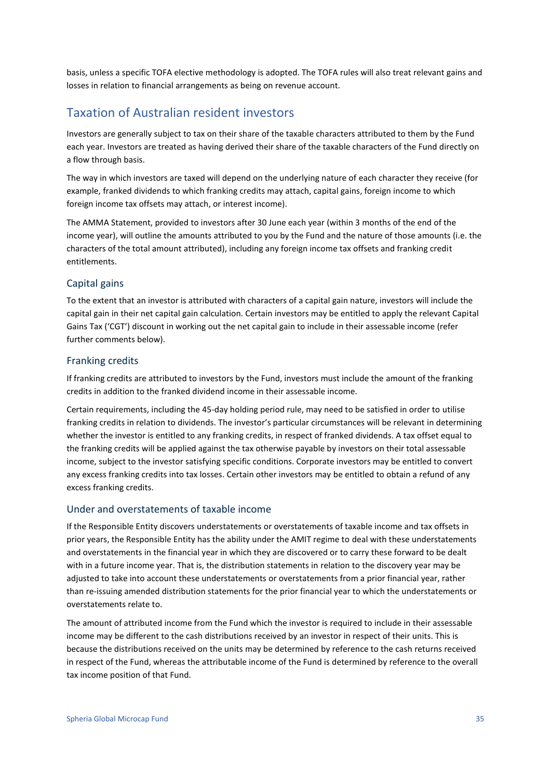basis, unless a specific TOFA elective methodology is adopted. The TOFA rules will also treat relevant gains and losses in relation to financial arrangements as being on revenue account.

### Taxation of Australian resident investors

Investors are generally subject to tax on their share of the taxable characters attributed to them by the Fund each year. Investors are treated as having derived their share of the taxable characters of the Fund directly on a flow through basis.

The way in which investors are taxed will depend on the underlying nature of each character they receive (for example, franked dividends to which franking credits may attach, capital gains, foreign income to which foreign income tax offsets may attach, or interest income).

The AMMA Statement, provided to investors after 30 June each year (within 3 months of the end of the income year), will outline the amounts attributed to you by the Fund and the nature of those amounts (i.e. the characters of the total amount attributed), including any foreign income tax offsets and franking credit entitlements.

### Capital gains

To the extent that an investor is attributed with characters of a capital gain nature, investors will include the capital gain in their net capital gain calculation. Certain investors may be entitled to apply the relevant Capital Gains Tax ('CGT') discount in working out the net capital gain to include in their assessable income (refer further comments below).

### Franking credits

If franking credits are attributed to investors by the Fund, investors must include the amount of the franking credits in addition to the franked dividend income in their assessable income.

Certain requirements, including the 45-day holding period rule, may need to be satisfied in order to utilise franking credits in relation to dividends. The investor's particular circumstances will be relevant in determining whether the investor is entitled to any franking credits, in respect of franked dividends. A tax offset equal to the franking credits will be applied against the tax otherwise payable by investors on their total assessable income, subject to the investor satisfying specific conditions. Corporate investors may be entitled to convert any excess franking credits into tax losses. Certain other investors may be entitled to obtain a refund of any excess franking credits.

### Under and overstatements of taxable income

If the Responsible Entity discovers understatements or overstatements of taxable income and tax offsets in prior years, the Responsible Entity has the ability under the AMIT regime to deal with these understatements and overstatements in the financial year in which they are discovered or to carry these forward to be dealt with in a future income year. That is, the distribution statements in relation to the discovery year may be adjusted to take into account these understatements or overstatements from a prior financial year, rather than re-issuing amended distribution statements for the prior financial year to which the understatements or overstatements relate to.

The amount of attributed income from the Fund which the investor is required to include in their assessable income may be different to the cash distributions received by an investor in respect of their units. This is because the distributions received on the units may be determined by reference to the cash returns received in respect of the Fund, whereas the attributable income of the Fund is determined by reference to the overall tax income position of that Fund.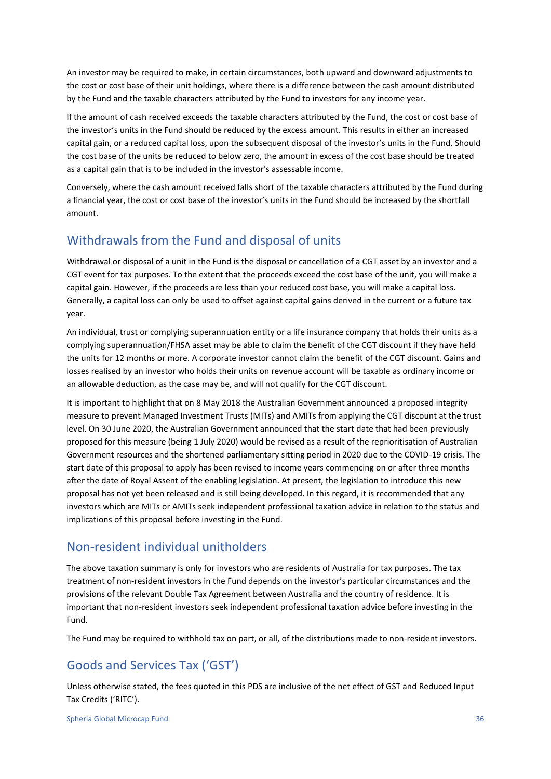An investor may be required to make, in certain circumstances, both upward and downward adjustments to the cost or cost base of their unit holdings, where there is a difference between the cash amount distributed by the Fund and the taxable characters attributed by the Fund to investors for any income year.

If the amount of cash received exceeds the taxable characters attributed by the Fund, the cost or cost base of the investor's units in the Fund should be reduced by the excess amount. This results in either an increased capital gain, or a reduced capital loss, upon the subsequent disposal of the investor's units in the Fund. Should the cost base of the units be reduced to below zero, the amount in excess of the cost base should be treated as a capital gain that is to be included in the investor's assessable income.

Conversely, where the cash amount received falls short of the taxable characters attributed by the Fund during a financial year, the cost or cost base of the investor's units in the Fund should be increased by the shortfall amount.

### Withdrawals from the Fund and disposal of units

Withdrawal or disposal of a unit in the Fund is the disposal or cancellation of a CGT asset by an investor and a CGT event for tax purposes. To the extent that the proceeds exceed the cost base of the unit, you will make a capital gain. However, if the proceeds are less than your reduced cost base, you will make a capital loss. Generally, a capital loss can only be used to offset against capital gains derived in the current or a future tax year.

An individual, trust or complying superannuation entity or a life insurance company that holds their units as a complying superannuation/FHSA asset may be able to claim the benefit of the CGT discount if they have held the units for 12 months or more. A corporate investor cannot claim the benefit of the CGT discount. Gains and losses realised by an investor who holds their units on revenue account will be taxable as ordinary income or an allowable deduction, as the case may be, and will not qualify for the CGT discount.

It is important to highlight that on 8 May 2018 the Australian Government announced a proposed integrity measure to prevent Managed Investment Trusts (MITs) and AMITs from applying the CGT discount at the trust level. On 30 June 2020, the Australian Government announced that the start date that had been previously proposed for this measure (being 1 July 2020) would be revised as a result of the reprioritisation of Australian Government resources and the shortened parliamentary sitting period in 2020 due to the COVID-19 crisis. The start date of this proposal to apply has been revised to income years commencing on or after three months after the date of Royal Assent of the enabling legislation. At present, the legislation to introduce this new proposal has not yet been released and is still being developed. In this regard, it is recommended that any investors which are MITs or AMITs seek independent professional taxation advice in relation to the status and implications of this proposal before investing in the Fund.

### Non-resident individual unitholders

The above taxation summary is only for investors who are residents of Australia for tax purposes. The tax treatment of non-resident investors in the Fund depends on the investor's particular circumstances and the provisions of the relevant Double Tax Agreement between Australia and the country of residence. It is important that non-resident investors seek independent professional taxation advice before investing in the Fund.

The Fund may be required to withhold tax on part, or all, of the distributions made to non-resident investors.

### Goods and Services Tax ('GST')

Unless otherwise stated, the fees quoted in this PDS are inclusive of the net effect of GST and Reduced Input Tax Credits ('RITC').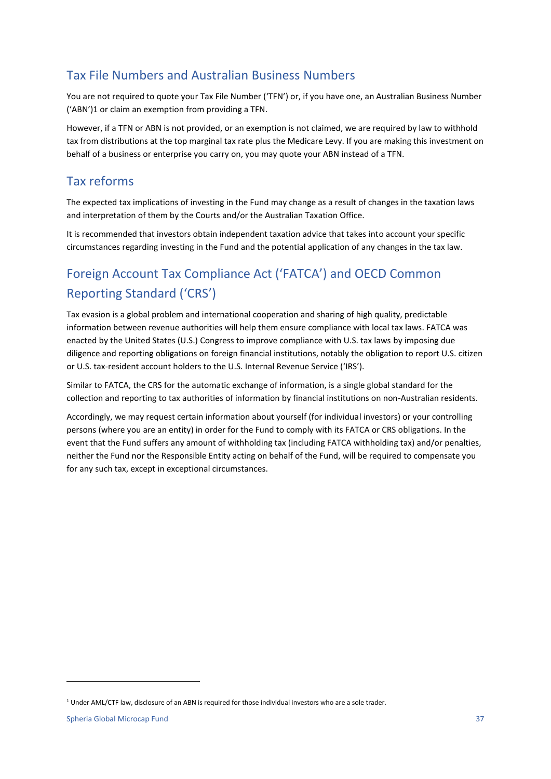### Tax File Numbers and Australian Business Numbers

You are not required to quote your Tax File Number ('TFN') or, if you have one, an Australian Business Number ('ABN')1 or claim an exemption from providing a TFN.

However, if a TFN or ABN is not provided, or an exemption is not claimed, we are required by law to withhold tax from distributions at the top marginal tax rate plus the Medicare Levy. If you are making this investment on behalf of a business or enterprise you carry on, you may quote your ABN instead of a TFN.

### Tax reforms

The expected tax implications of investing in the Fund may change as a result of changes in the taxation laws and interpretation of them by the Courts and/or the Australian Taxation Office.

It is recommended that investors obtain independent taxation advice that takes into account your specific circumstances regarding investing in the Fund and the potential application of any changes in the tax law.

## Foreign Account Tax Compliance Act ('FATCA') and OECD Common Reporting Standard ('CRS')

Tax evasion is a global problem and international cooperation and sharing of high quality, predictable information between revenue authorities will help them ensure compliance with local tax laws. FATCA was enacted by the United States (U.S.) Congress to improve compliance with U.S. tax laws by imposing due diligence and reporting obligations on foreign financial institutions, notably the obligation to report U.S. citizen or U.S. tax-resident account holders to the U.S. Internal Revenue Service ('IRS').

Similar to FATCA, the CRS for the automatic exchange of information, is a single global standard for the collection and reporting to tax authorities of information by financial institutions on non-Australian residents.

Accordingly, we may request certain information about yourself (for individual investors) or your controlling persons (where you are an entity) in order for the Fund to comply with its FATCA or CRS obligations. In the event that the Fund suffers any amount of withholding tax (including FATCA withholding tax) and/or penalties, neither the Fund nor the Responsible Entity acting on behalf of the Fund, will be required to compensate you for any such tax, except in exceptional circumstances.

<sup>1</sup> Under AML/CTF law, disclosure of an ABN is required for those individual investors who are a sole trader.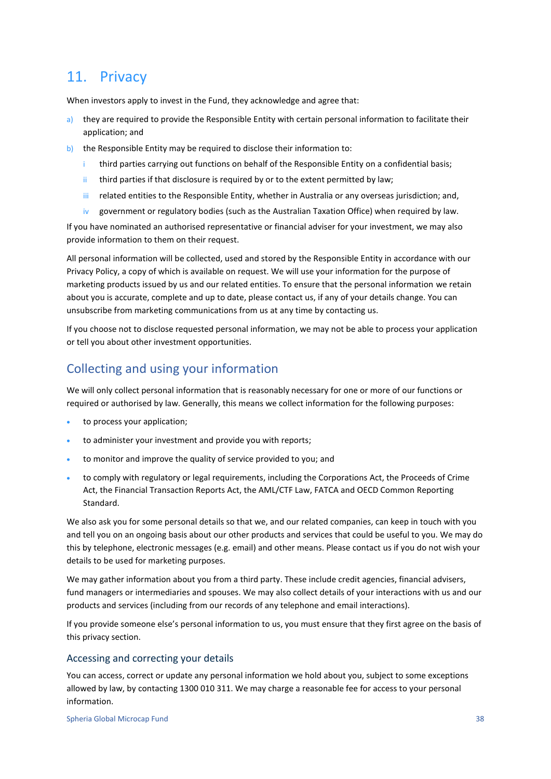## <span id="page-37-0"></span>11. Privacy

When investors apply to invest in the Fund, they acknowledge and agree that:

- a) they are required to provide the Responsible Entity with certain personal information to facilitate their application; and
- b) the Responsible Entity may be required to disclose their information to:
	- i third parties carrying out functions on behalf of the Responsible Entity on a confidential basis;
	- $ii$  third parties if that disclosure is required by or to the extent permitted by law;
	- iii related entities to the Responsible Entity, whether in Australia or any overseas jurisdiction; and,
	- iv government or regulatory bodies (such as the Australian Taxation Office) when required by law.

If you have nominated an authorised representative or financial adviser for your investment, we may also provide information to them on their request.

All personal information will be collected, used and stored by the Responsible Entity in accordance with our Privacy Policy, a copy of which is available on request. We will use your information for the purpose of marketing products issued by us and our related entities. To ensure that the personal information we retain about you is accurate, complete and up to date, please contact us, if any of your details change. You can unsubscribe from marketing communications from us at any time by contacting us.

If you choose not to disclose requested personal information, we may not be able to process your application or tell you about other investment opportunities.

### Collecting and using your information

We will only collect personal information that is reasonably necessary for one or more of our functions or required or authorised by law. Generally, this means we collect information for the following purposes:

- to process your application:
- to administer your investment and provide you with reports;
- to monitor and improve the quality of service provided to you; and
- to comply with regulatory or legal requirements, including the Corporations Act, the Proceeds of Crime Act, the Financial Transaction Reports Act, the AML/CTF Law, FATCA and OECD Common Reporting Standard.

We also ask you for some personal details so that we, and our related companies, can keep in touch with you and tell you on an ongoing basis about our other products and services that could be useful to you. We may do this by telephone, electronic messages (e.g. email) and other means. Please contact us if you do not wish your details to be used for marketing purposes.

We may gather information about you from a third party. These include credit agencies, financial advisers, fund managers or intermediaries and spouses. We may also collect details of your interactions with us and our products and services (including from our records of any telephone and email interactions).

If you provide someone else's personal information to us, you must ensure that they first agree on the basis of this privacy section.

### Accessing and correcting your details

You can access, correct or update any personal information we hold about you, subject to some exceptions allowed by law, by contacting 1300 010 311. We may charge a reasonable fee for access to your personal information.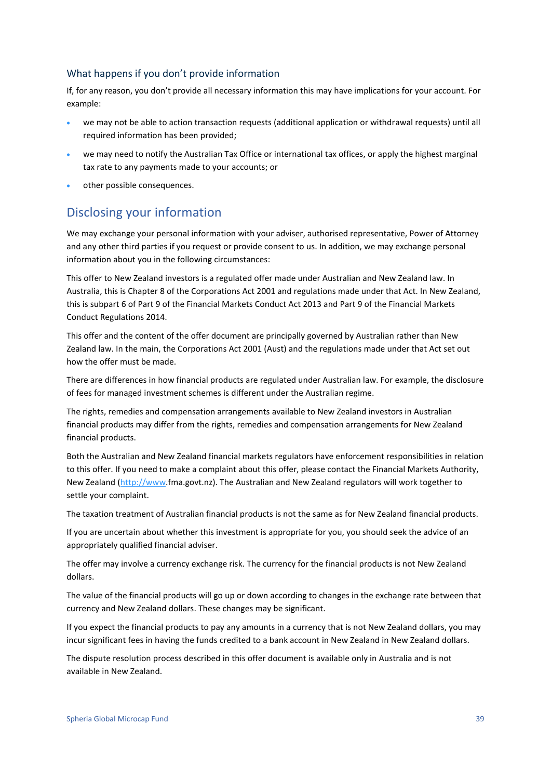### What happens if you don't provide information

If, for any reason, you don't provide all necessary information this may have implications for your account. For example:

- we may not be able to action transaction requests (additional application or withdrawal requests) until all required information has been provided;
- we may need to notify the Australian Tax Office or international tax offices, or apply the highest marginal tax rate to any payments made to your accounts; or
- other possible consequences.

### Disclosing your information

We may exchange your personal information with your adviser, authorised representative, Power of Attorney and any other third parties if you request or provide consent to us. In addition, we may exchange personal information about you in the following circumstances:

This offer to New Zealand investors is a regulated offer made under Australian and New Zealand law. In Australia, this is Chapter 8 of the Corporations Act 2001 and regulations made under that Act. In New Zealand, this is subpart 6 of Part 9 of the Financial Markets Conduct Act 2013 and Part 9 of the Financial Markets Conduct Regulations 2014.

This offer and the content of the offer document are principally governed by Australian rather than New Zealand law. In the main, the Corporations Act 2001 (Aust) and the regulations made under that Act set out how the offer must be made.

There are differences in how financial products are regulated under Australian law. For example, the disclosure of fees for managed investment schemes is different under the Australian regime.

The rights, remedies and compensation arrangements available to New Zealand investors in Australian financial products may differ from the rights, remedies and compensation arrangements for New Zealand financial products.

Both the Australian and New Zealand financial markets regulators have enforcement responsibilities in relation to this offer. If you need to make a complaint about this offer, please contact the Financial Markets Authority, New Zealand [\(http://www.](http://www/)fma.govt.nz). The Australian and New Zealand regulators will work together to settle your complaint.

The taxation treatment of Australian financial products is not the same as for New Zealand financial products.

If you are uncertain about whether this investment is appropriate for you, you should seek the advice of an appropriately qualified financial adviser.

The offer may involve a currency exchange risk. The currency for the financial products is not New Zealand dollars.

The value of the financial products will go up or down according to changes in the exchange rate between that currency and New Zealand dollars. These changes may be significant.

If you expect the financial products to pay any amounts in a currency that is not New Zealand dollars, you may incur significant fees in having the funds credited to a bank account in New Zealand in New Zealand dollars.

The dispute resolution process described in this offer document is available only in Australia and is not available in New Zealand.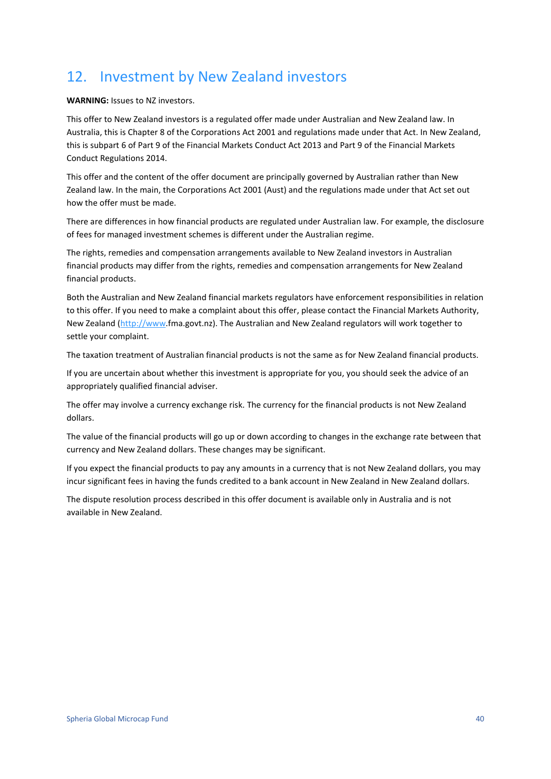## <span id="page-39-0"></span>12. Investment by New Zealand investors

**WARNING:** Issues to NZ investors.

This offer to New Zealand investors is a regulated offer made under Australian and New Zealand law. In Australia, this is Chapter 8 of the Corporations Act 2001 and regulations made under that Act. In New Zealand, this is subpart 6 of Part 9 of the Financial Markets Conduct Act 2013 and Part 9 of the Financial Markets Conduct Regulations 2014.

This offer and the content of the offer document are principally governed by Australian rather than New Zealand law. In the main, the Corporations Act 2001 (Aust) and the regulations made under that Act set out how the offer must be made.

There are differences in how financial products are regulated under Australian law. For example, the disclosure of fees for managed investment schemes is different under the Australian regime.

The rights, remedies and compensation arrangements available to New Zealand investors in Australian financial products may differ from the rights, remedies and compensation arrangements for New Zealand financial products.

Both the Australian and New Zealand financial markets regulators have enforcement responsibilities in relation to this offer. If you need to make a complaint about this offer, please contact the Financial Markets Authority, New Zealand [\(http://www.](http://www/)fma.govt.nz). The Australian and New Zealand regulators will work together to settle your complaint.

The taxation treatment of Australian financial products is not the same as for New Zealand financial products.

If you are uncertain about whether this investment is appropriate for you, you should seek the advice of an appropriately qualified financial adviser.

The offer may involve a currency exchange risk. The currency for the financial products is not New Zealand dollars.

The value of the financial products will go up or down according to changes in the exchange rate between that currency and New Zealand dollars. These changes may be significant.

If you expect the financial products to pay any amounts in a currency that is not New Zealand dollars, you may incur significant fees in having the funds credited to a bank account in New Zealand in New Zealand dollars.

The dispute resolution process described in this offer document is available only in Australia and is not available in New Zealand.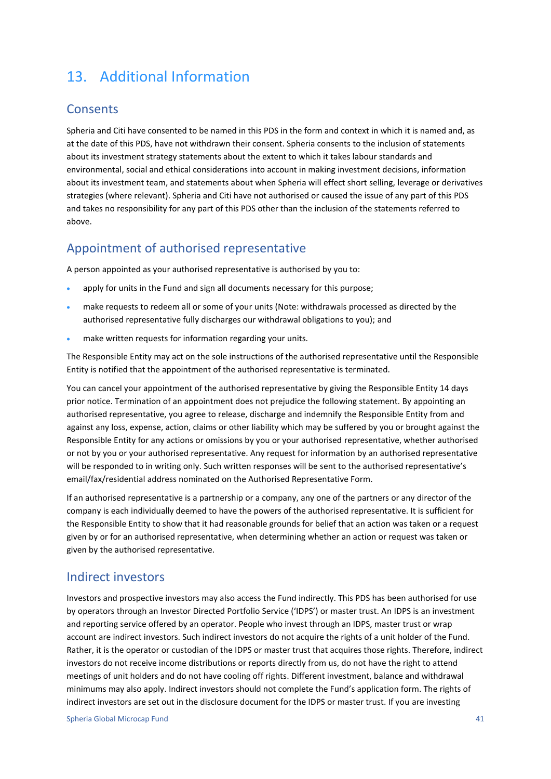## <span id="page-40-0"></span>13. Additional Information

### **Consents**

Spheria and Citi have consented to be named in this PDS in the form and context in which it is named and, as at the date of this PDS, have not withdrawn their consent. Spheria consents to the inclusion of statements about its investment strategy statements about the extent to which it takes labour standards and environmental, social and ethical considerations into account in making investment decisions, information about its investment team, and statements about when Spheria will effect short selling, leverage or derivatives strategies (where relevant). Spheria and Citi have not authorised or caused the issue of any part of this PDS and takes no responsibility for any part of this PDS other than the inclusion of the statements referred to above.

### Appointment of authorised representative

A person appointed as your authorised representative is authorised by you to:

- apply for units in the Fund and sign all documents necessary for this purpose;
- make requests to redeem all or some of your units (Note: withdrawals processed as directed by the authorised representative fully discharges our withdrawal obligations to you); and
- make written requests for information regarding your units.

The Responsible Entity may act on the sole instructions of the authorised representative until the Responsible Entity is notified that the appointment of the authorised representative is terminated.

You can cancel your appointment of the authorised representative by giving the Responsible Entity 14 days prior notice. Termination of an appointment does not prejudice the following statement. By appointing an authorised representative, you agree to release, discharge and indemnify the Responsible Entity from and against any loss, expense, action, claims or other liability which may be suffered by you or brought against the Responsible Entity for any actions or omissions by you or your authorised representative, whether authorised or not by you or your authorised representative. Any request for information by an authorised representative will be responded to in writing only. Such written responses will be sent to the authorised representative's email/fax/residential address nominated on the Authorised Representative Form.

If an authorised representative is a partnership or a company, any one of the partners or any director of the company is each individually deemed to have the powers of the authorised representative. It is sufficient for the Responsible Entity to show that it had reasonable grounds for belief that an action was taken or a request given by or for an authorised representative, when determining whether an action or request was taken or given by the authorised representative.

### Indirect investors

Investors and prospective investors may also access the Fund indirectly. This PDS has been authorised for use by operators through an Investor Directed Portfolio Service ('IDPS') or master trust. An IDPS is an investment and reporting service offered by an operator. People who invest through an IDPS, master trust or wrap account are indirect investors. Such indirect investors do not acquire the rights of a unit holder of the Fund. Rather, it is the operator or custodian of the IDPS or master trust that acquires those rights. Therefore, indirect investors do not receive income distributions or reports directly from us, do not have the right to attend meetings of unit holders and do not have cooling off rights. Different investment, balance and withdrawal minimums may also apply. Indirect investors should not complete the Fund's application form. The rights of indirect investors are set out in the disclosure document for the IDPS or master trust. If you are investing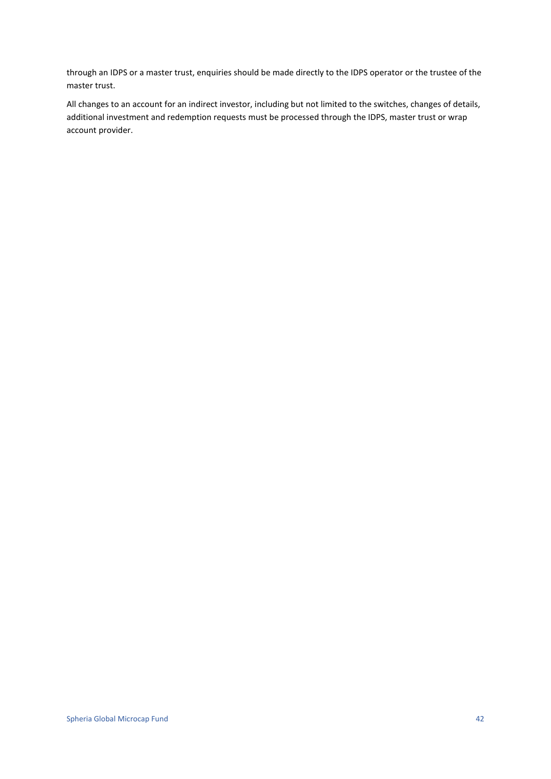through an IDPS or a master trust, enquiries should be made directly to the IDPS operator or the trustee of the master trust.

All changes to an account for an indirect investor, including but not limited to the switches, changes of details, additional investment and redemption requests must be processed through the IDPS, master trust or wrap account provider.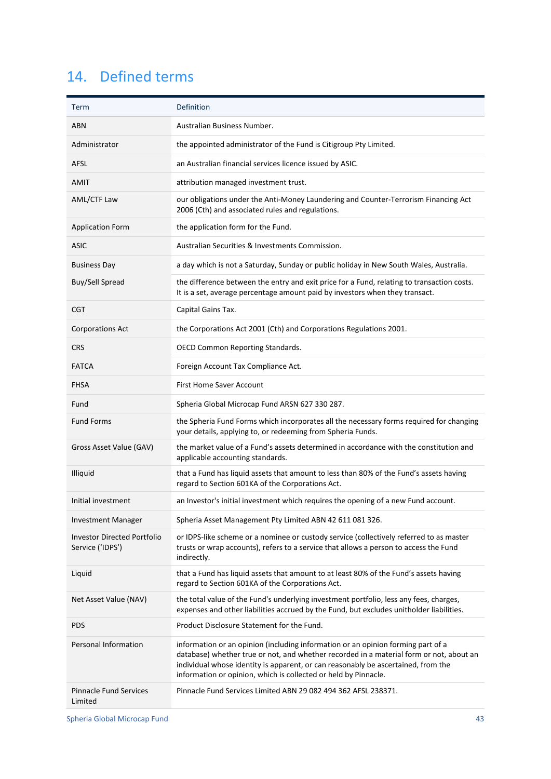## <span id="page-42-0"></span>14. Defined terms

| Term                                                   | Definition                                                                                                                                                                                                                                                                                                                          |
|--------------------------------------------------------|-------------------------------------------------------------------------------------------------------------------------------------------------------------------------------------------------------------------------------------------------------------------------------------------------------------------------------------|
| <b>ABN</b>                                             | Australian Business Number.                                                                                                                                                                                                                                                                                                         |
| Administrator                                          | the appointed administrator of the Fund is Citigroup Pty Limited.                                                                                                                                                                                                                                                                   |
| <b>AFSL</b>                                            | an Australian financial services licence issued by ASIC.                                                                                                                                                                                                                                                                            |
| <b>AMIT</b>                                            | attribution managed investment trust.                                                                                                                                                                                                                                                                                               |
| AML/CTF Law                                            | our obligations under the Anti-Money Laundering and Counter-Terrorism Financing Act<br>2006 (Cth) and associated rules and regulations.                                                                                                                                                                                             |
| <b>Application Form</b>                                | the application form for the Fund.                                                                                                                                                                                                                                                                                                  |
| <b>ASIC</b>                                            | Australian Securities & Investments Commission.                                                                                                                                                                                                                                                                                     |
| <b>Business Day</b>                                    | a day which is not a Saturday, Sunday or public holiday in New South Wales, Australia.                                                                                                                                                                                                                                              |
| Buy/Sell Spread                                        | the difference between the entry and exit price for a Fund, relating to transaction costs.<br>It is a set, average percentage amount paid by investors when they transact.                                                                                                                                                          |
| CGT                                                    | Capital Gains Tax.                                                                                                                                                                                                                                                                                                                  |
| <b>Corporations Act</b>                                | the Corporations Act 2001 (Cth) and Corporations Regulations 2001.                                                                                                                                                                                                                                                                  |
| <b>CRS</b>                                             | <b>OECD Common Reporting Standards.</b>                                                                                                                                                                                                                                                                                             |
| <b>FATCA</b>                                           | Foreign Account Tax Compliance Act.                                                                                                                                                                                                                                                                                                 |
| <b>FHSA</b>                                            | First Home Saver Account                                                                                                                                                                                                                                                                                                            |
| Fund                                                   | Spheria Global Microcap Fund ARSN 627 330 287.                                                                                                                                                                                                                                                                                      |
| <b>Fund Forms</b>                                      | the Spheria Fund Forms which incorporates all the necessary forms required for changing<br>your details, applying to, or redeeming from Spheria Funds.                                                                                                                                                                              |
| Gross Asset Value (GAV)                                | the market value of a Fund's assets determined in accordance with the constitution and<br>applicable accounting standards.                                                                                                                                                                                                          |
| Illiquid                                               | that a Fund has liquid assets that amount to less than 80% of the Fund's assets having<br>regard to Section 601KA of the Corporations Act.                                                                                                                                                                                          |
| Initial investment                                     | an Investor's initial investment which requires the opening of a new Fund account.                                                                                                                                                                                                                                                  |
| <b>Investment Manager</b>                              | Spheria Asset Management Pty Limited ABN 42 611 081 326.                                                                                                                                                                                                                                                                            |
| <b>Investor Directed Portfolio</b><br>Service ('IDPS') | or IDPS-like scheme or a nominee or custody service (collectively referred to as master<br>trusts or wrap accounts), refers to a service that allows a person to access the Fund<br>indirectly.                                                                                                                                     |
| Liquid                                                 | that a Fund has liquid assets that amount to at least 80% of the Fund's assets having<br>regard to Section 601KA of the Corporations Act.                                                                                                                                                                                           |
| Net Asset Value (NAV)                                  | the total value of the Fund's underlying investment portfolio, less any fees, charges,<br>expenses and other liabilities accrued by the Fund, but excludes unitholder liabilities.                                                                                                                                                  |
| PDS                                                    | Product Disclosure Statement for the Fund.                                                                                                                                                                                                                                                                                          |
| Personal Information                                   | information or an opinion (including information or an opinion forming part of a<br>database) whether true or not, and whether recorded in a material form or not, about an<br>individual whose identity is apparent, or can reasonably be ascertained, from the<br>information or opinion, which is collected or held by Pinnacle. |
| <b>Pinnacle Fund Services</b><br>Limited               | Pinnacle Fund Services Limited ABN 29 082 494 362 AFSL 238371.                                                                                                                                                                                                                                                                      |